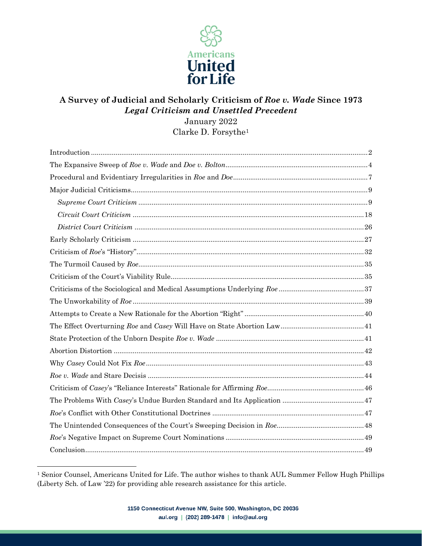

#### **A Survey of Judicial and Scholarly Criticism of** *Roe v. Wade* **Since 1973** *Legal Criticism and Unsettled Precedent* January 2022

Clarke D. Forsythe<sup>1</sup>

<sup>1</sup> Senior Counsel, Americans United for Life. The author wishes to thank AUL Summer Fellow Hugh Phillips (Liberty Sch. of Law '22) for providing able research assistance for this article.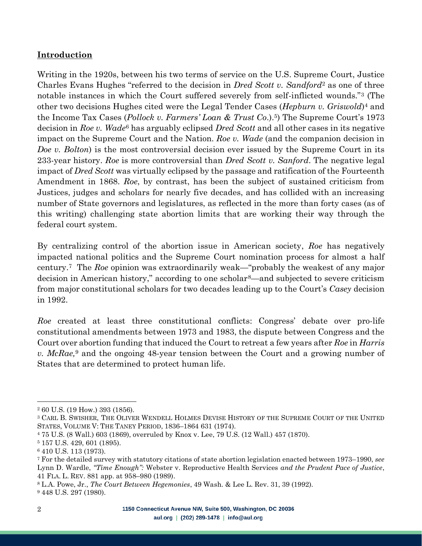#### <span id="page-1-0"></span>**Introduction**

Writing in the 1920s, between his two terms of service on the U.S. Supreme Court, Justice Charles Evans Hughes "referred to the decision in *Dred Scott v. Sandford*<sup>2</sup> as one of three notable instances in which the Court suffered severely from self-inflicted wounds."<sup>3</sup> (The other two decisions Hughes cited were the Legal Tender Cases (*Hepburn v. Griswold*) <sup>4</sup> and the Income Tax Cases (*Pollock v. Farmers' Loan & Trust Co*.).5) The Supreme Court's 1973 decision in *Roe v. Wade*<sup>6</sup> has arguably eclipsed *Dred Scott* and all other cases in its negative impact on the Supreme Court and the Nation. *Roe v. Wade* (and the companion decision in *Doe v. Bolton*) is the most controversial decision ever issued by the Supreme Court in its 233-year history. *Roe* is more controversial than *Dred Scott v. Sanford*. The negative legal impact of *Dred Scott* was virtually eclipsed by the passage and ratification of the Fourteenth Amendment in 1868. *Roe*, by contrast, has been the subject of sustained criticism from Justices, judges and scholars for nearly five decades, and has collided with an increasing number of State governors and legislatures, as reflected in the more than forty cases (as of this writing) challenging state abortion limits that are working their way through the federal court system.

By centralizing control of the abortion issue in American society, *Roe* has negatively impacted national politics and the Supreme Court nomination process for almost a half century. <sup>7</sup> The *Roe* opinion was extraordinarily weak—"probably the weakest of any major decision in American history," according to one scholar8—and subjected to severe criticism from major constitutional scholars for two decades leading up to the Court's *Casey* decision in 1992.

*Roe* created at least three constitutional conflicts: Congress' debate over pro-life constitutional amendments between 1973 and 1983, the dispute between Congress and the Court over abortion funding that induced the Court to retreat a few years after *Roe* in *Harris v. McRae,* <sup>9</sup> and the ongoing 48-year tension between the Court and a growing number of States that are determined to protect human life.

<sup>2</sup> 60 U.S. (19 How.) 393 (1856).

<sup>3</sup> CARL B. SWISHER, THE OLIVER WENDELL HOLMES DEVISE HISTORY OF THE SUPREME COURT OF THE UNITED STATES, VOLUME V: THE TANEY PERIOD, 1836–1864 631 (1974).

<sup>4</sup> 75 U.S. (8 Wall.) 603 (1869), overruled by Knox v. Lee, 79 U.S. (12 Wall.) 457 (1870).

<sup>5</sup> 157 U.S. 429, 601 (1895).

<sup>6</sup> 410 U.S. 113 (1973).

<sup>7</sup> For the detailed survey with statutory citations of state abortion legislation enacted between 1973–1990, *see* Lynn D. Wardle, *"Time Enough":* Webster v. Reproductive Health Services *and the Prudent Pace of Justice*, 41 FLA. L. REV. 881 app. at 958–980 (1989).

<sup>8</sup> L.A. Powe, Jr., *The Court Between Hegemonies*, 49 Wash. & Lee L. Rev. 31, 39 (1992). <sup>9</sup> 448 U.S. 297 (1980).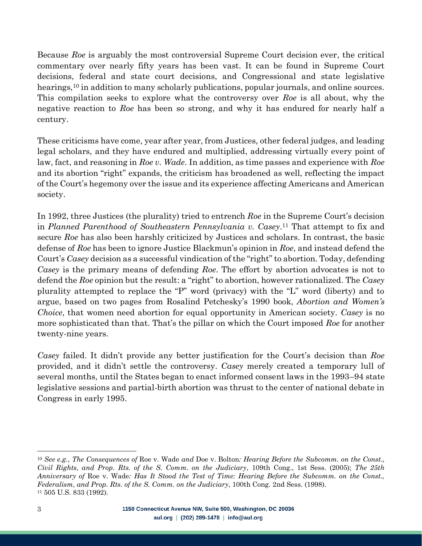Because *Roe* is arguably the most controversial Supreme Court decision ever, the critical commentary over nearly fifty years has been vast. It can be found in Supreme Court decisions, federal and state court decisions, and Congressional and state legislative hearings,<sup>10</sup> in addition to many scholarly publications, popular journals, and online sources. This compilation seeks to explore what the controversy over *Roe* is all about, why the negative reaction to *Roe* has been so strong, and why it has endured for nearly half a century.

These criticisms have come, year after year, from Justices, other federal judges, and leading legal scholars, and they have endured and multiplied, addressing virtually every point of law, fact, and reasoning in *Roe v. Wade*. In addition, as time passes and experience with *Roe* and its abortion "right" expands, the criticism has broadened as well, reflecting the impact of the Court's hegemony over the issue and its experience affecting Americans and American society.

In 1992, three Justices (the plurality) tried to entrench *Roe* in the Supreme Court's decision in *Planned Parenthood of Southeastern Pennsylvania v. Casey*. <sup>11</sup> That attempt to fix and secure *Roe* has also been harshly criticized by Justices and scholars. In contrast, the basic defense of *Roe* has been to ignore Justice Blackmun's opinion in *Roe*, and instead defend the Court's *Casey* decision as a successful vindication of the "right" to abortion. Today, defending *Casey* is the primary means of defending *Roe*. The effort by abortion advocates is not to defend the *Roe* opinion but the result: a "right" to abortion, however rationalized. The *Casey* plurality attempted to replace the "P" word (privacy) with the "L" word (liberty) and to argue, based on two pages from Rosalind Petchesky's 1990 book, *Abortion and Women's Choice*, that women need abortion for equal opportunity in American society. *Casey* is no more sophisticated than that. That's the pillar on which the Court imposed *Roe* for another twenty-nine years.

*Casey* failed. It didn't provide any better justification for the Court's decision than *Roe* provided, and it didn't settle the controversy. *Casey* merely created a temporary lull of several months, until the States began to enact informed consent laws in the 1993–94 state legislative sessions and partial-birth abortion was thrust to the center of national debate in Congress in early 1995.

<sup>10</sup> *See e.g.*, *The Consequences of* Roe v. Wade *and* Doe v. Bolton*: Hearing Before the Subcomm. on the Const., Civil Rights, and Prop. Rts. of the S. Comm. on the Judiciary*, 109th Cong., 1st Sess. (2005); *The 25th Anniversary of* Roe v. Wade*: Has It Stood the Test of Time: Hearing Before the Subcomm. on the Const., Federalism, and Prop. Rts. of the S. Comm. on the Judiciary*, 100th Cong. 2nd Sess. (1998). <sup>11</sup> 505 U.S. 833 (1992).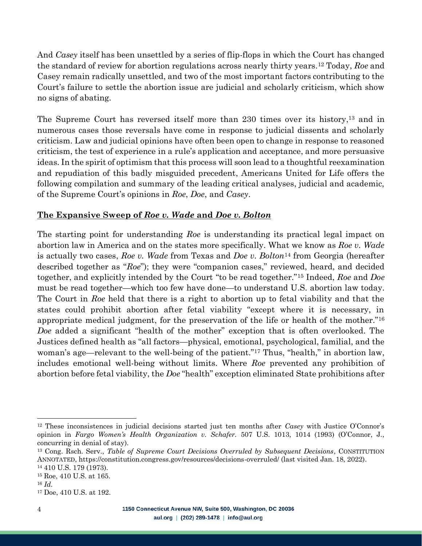And *Casey* itself has been unsettled by a series of flip-flops in which the Court has changed the standard of review for abortion regulations across nearly thirty years.<sup>12</sup> Today, *Roe* and Casey remain radically unsettled, and two of the most important factors contributing to the Court's failure to settle the abortion issue are judicial and scholarly criticism, which show no signs of abating.

The Supreme Court has reversed itself more than 230 times over its history,<sup>13</sup> and in numerous cases those reversals have come in response to judicial dissents and scholarly criticism. Law and judicial opinions have often been open to change in response to reasoned criticism, the test of experience in a rule's application and acceptance, and more persuasive ideas. In the spirit of optimism that this process will soon lead to a thoughtful reexamination and repudiation of this badly misguided precedent, Americans United for Life offers the following compilation and summary of the leading critical analyses, judicial and academic, of the Supreme Court's opinions in *Roe*, *Doe*, and *Casey*.

#### <span id="page-3-0"></span>**The Expansive Sweep of** *Roe v. Wade* **and** *Doe v. Bolton*

The starting point for understanding *Roe* is understanding its practical legal impact on abortion law in America and on the states more specifically. What we know as *Roe v. Wade* is actually two cases, *Roe v. Wade* from Texas and *Doe v. Bolton*<sup>14</sup> from Georgia (hereafter described together as "*Roe*"); they were "companion cases," reviewed, heard, and decided together, and explicitly intended by the Court "to be read together."<sup>15</sup> Indeed, *Roe* and *Doe* must be read together—which too few have done—to understand U.S. abortion law today. The Court in *Roe* held that there is a right to abortion up to fetal viability and that the states could prohibit abortion after fetal viability "except where it is necessary, in appropriate medical judgment, for the preservation of the life or health of the mother."<sup>16</sup> *Doe* added a significant "health of the mother" exception that is often overlooked. The Justices defined health as "all factors—physical, emotional, psychological, familial, and the woman's age—relevant to the well-being of the patient."<sup>17</sup> Thus, "health," in abortion law, includes emotional well-being without limits. Where *Roe* prevented any prohibition of abortion before fetal viability, the *Doe* "health" exception eliminated State prohibitions after

<sup>12</sup> These inconsistences in judicial decisions started just ten months after *Casey* with Justice O'Connor's opinion in *Fargo Women's Health Organization v. Schafer.* 507 U.S. 1013, 1014 (1993) (O'Connor, J., concurring in denial of stay).

<sup>13</sup> Cong. Rsch. Serv., *Table of Supreme Court Decisions Overruled by Subsequent Decisions*, CONSTITUTION ANNOTATED, https://constitution.congress.gov/resources/decisions-overruled/ (last visited Jan. 18, 2022).

<sup>14</sup> 410 U.S. 179 (1973).

<sup>15</sup> Roe, 410 U.S. at 165.

<sup>16</sup> *Id*.

<sup>17</sup> Doe, 410 U.S. at 192.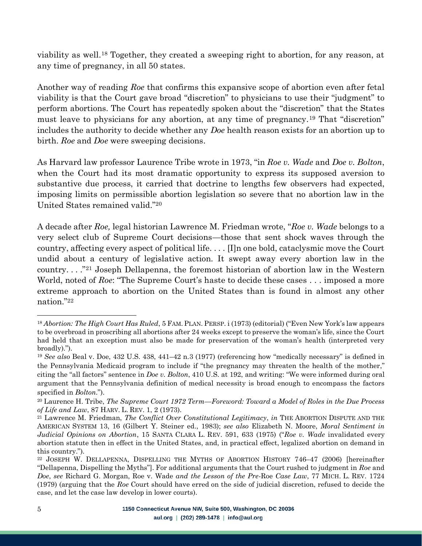viability as well.<sup>18</sup> Together, they created a sweeping right to abortion, for any reason, at any time of pregnancy, in all 50 states.

Another way of reading *Roe* that confirms this expansive scope of abortion even after fetal viability is that the Court gave broad "discretion" to physicians to use their "judgment" to perform abortions. The Court has repeatedly spoken about the "discretion" that the States must leave to physicians for any abortion, at any time of pregnancy.<sup>19</sup> That "discretion" includes the authority to decide whether any *Doe* health reason exists for an abortion up to birth. *Roe* and *Doe* were sweeping decisions.

As Harvard law professor Laurence Tribe wrote in 1973, "in *Roe v. Wade* and *Doe v. Bolton*, when the Court had its most dramatic opportunity to express its supposed aversion to substantive due process, it carried that doctrine to lengths few observers had expected, imposing limits on permissible abortion legislation so severe that no abortion law in the United States remained valid."<sup>20</sup>

A decade after *Roe,* legal historian Lawrence M. Friedman wrote, "*Roe v. Wade* belongs to a very select club of Supreme Court decisions—those that sent shock waves through the country, affecting every aspect of political life. . . . [I]n one bold, cataclysmic move the Court undid about a century of legislative action. It swept away every abortion law in the country. . . ." <sup>21</sup> Joseph Dellapenna, the foremost historian of abortion law in the Western World, noted of *Roe*: "The Supreme Court's haste to decide these cases . . . imposed a more extreme approach to abortion on the United States than is found in almost any other nation."<sup>22</sup>

<sup>18</sup> *Abortion: The High Court Has Ruled*, 5 FAM. PLAN. PERSP. i (1973) (editorial) ("Even New York's law appears to be overbroad in proscribing all abortions after 24 weeks except to preserve the woman's life, since the Court had held that an exception must also be made for preservation of the woman's health (interpreted very broadly).").

<sup>19</sup> *See also* Beal v. Doe, 432 U.S. 438, 441–42 n.3 (1977) (referencing how "medically necessary" is defined in the Pennsylvania Medicaid program to include if "the pregnancy may threaten the health of the mother," citing the "all factors" sentence in *Doe v. Bolton*, 410 U.S. at 192, and writing: "We were informed during oral argument that the Pennsylvania definition of medical necessity is broad enough to encompass the factors specified in *Bolton*.").

<sup>20</sup> Laurence H. Tribe, *The Supreme Court 1972 Term—Foreword: Toward a Model of Roles in the Due Process of Life and Law*, 87 HARV. L. REV. 1, 2 (1973).

<sup>21</sup> Lawrence M. Friedman, *The Conflict Over Constitutional Legitimacy*, *in* THE ABORTION DISPUTE AND THE AMERICAN SYSTEM 13, 16 (Gilbert Y. Steiner ed., 1983); *see also* Elizabeth N. Moore, *Moral Sentiment in Judicial Opinions on Abortion*, 15 SANTA CLARA L. REV. 591, 633 (1975) ("*Roe v. Wade* invalidated every abortion statute then in effect in the United States, and, in practical effect, legalized abortion on demand in this country.").

<sup>22</sup> JOSEPH W. DELLAPENNA, DISPELLING THE MYTHS OF ABORTION HISTORY 746–47 (2006) [hereinafter "Dellapenna, Dispelling the Myths"]. For additional arguments that the Court rushed to judgment in *Roe* and *Doe*, *see* Richard G. Morgan, Roe v. Wade *and the Lesson of the Pre-*Roe *Case Law*, 77 MICH. L. REV. 1724 (1979) (arguing that the *Roe* Court should have erred on the side of judicial discretion, refused to decide the case, and let the case law develop in lower courts).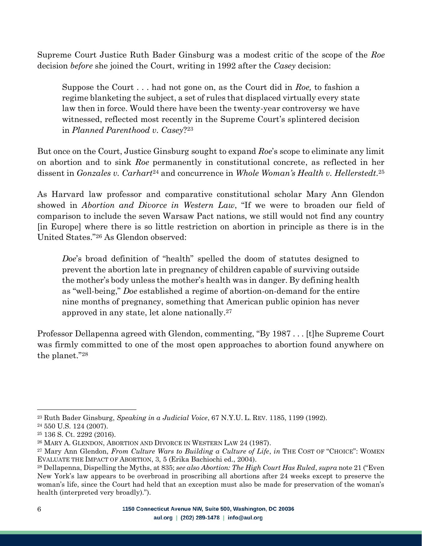Supreme Court Justice Ruth Bader Ginsburg was a modest critic of the scope of the *Roe* decision *before* she joined the Court, writing in 1992 after the *Casey* decision:

Suppose the Court . . . had not gone on, as the Court did in *Roe,* to fashion a regime blanketing the subject, a set of rules that displaced virtually every state law then in force. Would there have been the twenty-year controversy we have witnessed, reflected most recently in the Supreme Court's splintered decision in *Planned Parenthood v. Casey*? 23

But once on the Court, Justice Ginsburg sought to expand *Roe*'s scope to eliminate any limit on abortion and to sink *Roe* permanently in constitutional concrete, as reflected in her dissent in *Gonzales v. Carhart*<sup>24</sup> and concurrence in *Whole Woman's Health v. Hellerstedt.* 25

As Harvard law professor and comparative constitutional scholar Mary Ann Glendon showed in *Abortion and Divorce in Western Law*, "If we were to broaden our field of comparison to include the seven Warsaw Pact nations, we still would not find any country [in Europe] where there is so little restriction on abortion in principle as there is in the United States."<sup>26</sup> As Glendon observed:

*Doe*'s broad definition of "health" spelled the doom of statutes designed to prevent the abortion late in pregnancy of children capable of surviving outside the mother's body unless the mother's health was in danger. By defining health as "well-being," *Doe* established a regime of abortion-on-demand for the entire nine months of pregnancy, something that American public opinion has never approved in any state, let alone nationally. 27

Professor Dellapenna agreed with Glendon, commenting, "By 1987 . . . [t]he Supreme Court was firmly committed to one of the most open approaches to abortion found anywhere on the planet."<sup>28</sup>

<sup>23</sup> Ruth Bader Ginsburg, *Speaking in a Judicial Voice*, 67 N.Y.U. L. REV. 1185, 1199 (1992).

<sup>24</sup> 550 U.S. 124 (2007).

<sup>25</sup> 136 S. Ct. 2292 (2016).

<sup>26</sup> MARY A. GLENDON, ABORTION AND DIVORCE IN WESTERN LAW 24 (1987).

<sup>27</sup> Mary Ann Glendon, *From Culture Wars to Building a Culture of Life*, *in* THE COST OF "CHOICE": WOMEN EVALUATE THE IMPACT OF ABORTION, 3, 5 (Erika Bachiochi ed., 2004).

<sup>28</sup> Dellapenna, Dispelling the Myths, at 835; *see also Abortion: The High Court Has Ruled*, *supra* note 21 ("Even New York's law appears to be overbroad in proscribing all abortions after 24 weeks except to preserve the woman's life, since the Court had held that an exception must also be made for preservation of the woman's health (interpreted very broadly).").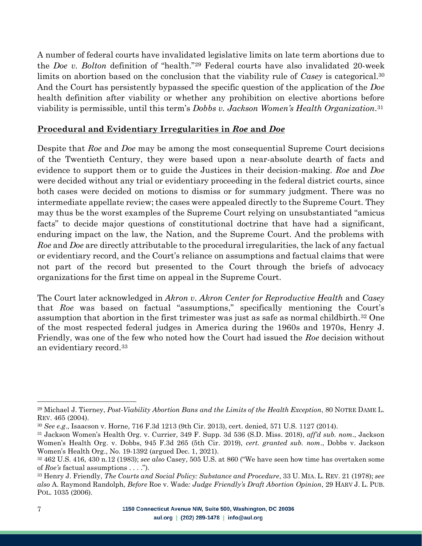A number of federal courts have invalidated legislative limits on late term abortions due to the *Doe v. Bolton* definition of "health." <sup>29</sup> Federal courts have also invalidated 20-week limits on abortion based on the conclusion that the viability rule of *Casey* is categorical. 30 And the Court has persistently bypassed the specific question of the application of the *Doe* health definition after viability or whether any prohibition on elective abortions before viability is permissible, until this term's *Dobbs v. Jackson Women's Health Organization*. 31

#### <span id="page-6-0"></span>**Procedural and Evidentiary Irregularities in** *Roe* **and** *Doe*

Despite that *Roe* and *Doe* may be among the most consequential Supreme Court decisions of the Twentieth Century, they were based upon a near-absolute dearth of facts and evidence to support them or to guide the Justices in their decision-making. *Roe* and *Doe* were decided without any trial or evidentiary proceeding in the federal district courts, since both cases were decided on motions to dismiss or for summary judgment. There was no intermediate appellate review; the cases were appealed directly to the Supreme Court. They may thus be the worst examples of the Supreme Court relying on unsubstantiated "amicus facts" to decide major questions of constitutional doctrine that have had a significant, enduring impact on the law, the Nation, and the Supreme Court. And the problems with *Roe* and *Doe* are directly attributable to the procedural irregularities, the lack of any factual or evidentiary record, and the Court's reliance on assumptions and factual claims that were not part of the record but presented to the Court through the briefs of advocacy organizations for the first time on appeal in the Supreme Court.

The Court later acknowledged in *Akron v. Akron Center for Reproductive Health* and *Casey* that *Roe* was based on factual "assumptions," specifically mentioning the Court's assumption that abortion in the first trimester was just as safe as normal childbirth.<sup>32</sup> One of the most respected federal judges in America during the 1960s and 1970s, Henry J. Friendly, was one of the few who noted how the Court had issued the *Roe* decision without an evidentiary record.<sup>33</sup>

<sup>29</sup> Michael J. Tierney, *Post-Viability Abortion Bans and the Limits of the Health Exception*, 80 NOTRE DAME L. REV. 465 (2004).

<sup>30</sup> *See e.g*., Isaacson v. Horne, 716 F.3d 1213 (9th Cir. 2013), cert. denied, 571 U.S. 1127 (2014).

<sup>31</sup> Jackson Women's Health Org. v. Currier, 349 F. Supp. 3d 536 (S.D. Miss. 2018), *aff'd sub. nom*., Jackson Women's Health Org. v. Dobbs, 945 F.3d 265 (5th Cir. 2019), *cert. granted sub. nom*., Dobbs v. Jackson Women's Health Org., No. 19-1392 (argued Dec. 1, 2021).

<sup>32</sup> 462 U.S. 416, 430 n.12 (1983); *see also* Casey, 505 U.S. at 860 ("We have seen how time has overtaken some of *Roe's* factual assumptions . . . .").

<sup>33</sup> Henry J. Friendly, *The Courts and Social Policy: Substance and Procedure*, 33 U. MIA. L. REV. 21 (1978); *see also* A. Raymond Randolph, *Before* Roe v. Wade*: Judge Friendly's Draft Abortion Opinion*, 29 HARV J. L. PUB. POL. 1035 (2006).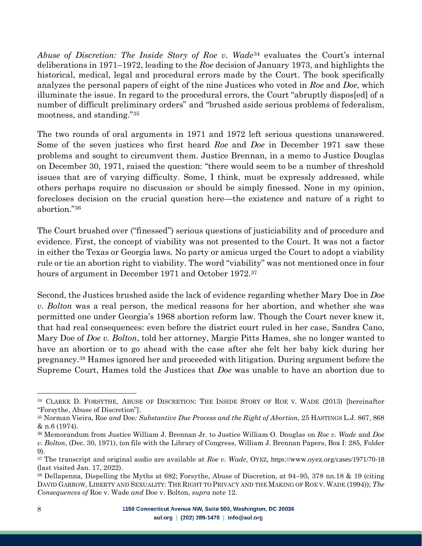*Abuse of Discretion: The Inside Story of Roe v. Wade*<sup>34</sup> evaluates the Court's internal deliberations in 1971–1972, leading to the *Roe* decision of January 1973, and highlights the historical, medical, legal and procedural errors made by the Court. The book specifically analyzes the personal papers of eight of the nine Justices who voted in *Roe* and *Doe*, which illuminate the issue. In regard to the procedural errors, the Court "abruptly dispos[ed] of a number of difficult preliminary orders" and "brushed aside serious problems of federalism, mootness, and standing."<sup>35</sup>

The two rounds of oral arguments in 1971 and 1972 left serious questions unanswered. Some of the seven justices who first heard *Roe* and *Doe* in December 1971 saw these problems and sought to circumvent them. Justice Brennan, in a memo to Justice Douglas on December 30, 1971, raised the question: "there would seem to be a number of threshold issues that are of varying difficulty. Some, I think, must be expressly addressed, while others perhaps require no discussion or should be simply finessed. None in my opinion, forecloses decision on the crucial question here—the existence and nature of a right to abortion."<sup>36</sup>

The Court brushed over ("finessed") serious questions of justiciability and of procedure and evidence. First, the concept of viability was not presented to the Court. It was not a factor in either the Texas or Georgia laws. No party or amicus urged the Court to adopt a viability rule or tie an abortion right to viability. The word "viability" was not mentioned once in four hours of argument in December 1971 and October 1972.<sup>37</sup>

Second, the Justices brushed aside the lack of evidence regarding whether Mary Doe in *Doe v. Bolton* was a real person, the medical reasons for her abortion, and whether she was permitted one under Georgia's 1968 abortion reform law. Though the Court never knew it, that had real consequences: even before the district court ruled in her case, Sandra Cano, Mary Doe of *Doe v. Bolton*, told her attorney, Margie Pitts Hames, she no longer wanted to have an abortion or to go ahead with the case after she felt her baby kick during her pregnancy.<sup>38</sup> Hames ignored her and proceeded with litigation. During argument before the Supreme Court, Hames told the Justices that *Doe* was unable to have an abortion due to

<sup>34</sup> CLARKE D. FORSYTHE, ABUSE OF DISCRETION: THE INSIDE STORY OF ROE V. WADE (2013) [hereinafter "Forsythe, Abuse of Discretion"].

<sup>35</sup> Norman Vieira, Roe *and* Doe*: Substantive Due Process and the Right of Abortion*, 25 HASTINGS L.J. 867, 868 & n.6 (1974).

<sup>36</sup> Memorandum from Justice William J. Brennan Jr. to Justice William O. Douglas on *Roe v. Wade* and *Doe v. Bolton*, (Dec. 30, 1971), (on file with the Library of Congress, William J. Brennan Papers, Box I: 285, Folder 9).

<sup>37</sup> The transcript and original audio are available at *Roe v. Wade*, OYEZ, https://www.oyez.org/cases/1971/70-18 (last visited Jan. 17, 2022).

<sup>38</sup> Dellapenna, Dispelling the Myths at 682; Forsythe, Abuse of Discretion, at 94–95, 378 nn.18 & 19 (citing DAVID GARROW, LIBERTY AND SEXUALITY: THE RIGHT TO PRIVACY AND THE MAKING OF ROE V. WADE (1994)); *The Consequences of* Roe v. Wade *and* Doe v. Bolton, *supra* note 12.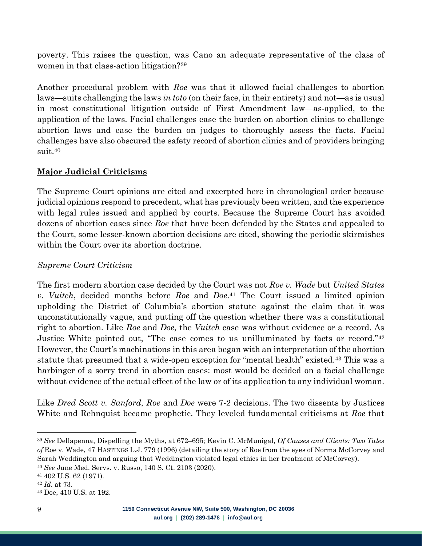poverty. This raises the question, was Cano an adequate representative of the class of women in that class-action litigation?<sup>39</sup>

Another procedural problem with *Roe* was that it allowed facial challenges to abortion laws—suits challenging the laws *in toto* (on their face, in their entirety) and not—as is usual in most constitutional litigation outside of First Amendment law—as-applied, to the application of the laws. Facial challenges ease the burden on abortion clinics to challenge abortion laws and ease the burden on judges to thoroughly assess the facts. Facial challenges have also obscured the safety record of abortion clinics and of providers bringing suit.<sup>40</sup>

## <span id="page-8-0"></span>**Major Judicial Criticisms**

The Supreme Court opinions are cited and excerpted here in chronological order because judicial opinions respond to precedent, what has previously been written, and the experience with legal rules issued and applied by courts. Because the Supreme Court has avoided dozens of abortion cases since *Roe* that have been defended by the States and appealed to the Court, some lesser-known abortion decisions are cited, showing the periodic skirmishes within the Court over its abortion doctrine.

#### <span id="page-8-1"></span>*Supreme Court Criticism*

The first modern abortion case decided by the Court was not *Roe v. Wade* but *United States v. Vuitch*, decided months before *Roe* and *Doe*. <sup>41</sup> The Court issued a limited opinion upholding the District of Columbia's abortion statute against the claim that it was unconstitutionally vague, and putting off the question whether there was a constitutional right to abortion. Like *Roe* and *Doe*, the *Vuitch* case was without evidence or a record. As Justice White pointed out, "The case comes to us unilluminated by facts or record."<sup>42</sup> However, the Court's machinations in this area began with an interpretation of the abortion statute that presumed that a wide-open exception for "mental health" existed.<sup>43</sup> This was a harbinger of a sorry trend in abortion cases: most would be decided on a facial challenge without evidence of the actual effect of the law or of its application to any individual woman.

Like *Dred Scott v. Sanford*, *Roe* and *Doe* were 7-2 decisions. The two dissents by Justices White and Rehnquist became prophetic. They leveled fundamental criticisms at *Roe* that

<sup>39</sup> *See* Dellapenna, Dispelling the Myths, at 672–695; Kevin C. McMunigal, *Of Causes and Clients: Two Tales of* Roe v. Wade, 47 HASTINGS L.J. 779 (1996) (detailing the story of Roe from the eyes of Norma McCorvey and Sarah Weddington and arguing that Weddington violated legal ethics in her treatment of McCorvey). <sup>40</sup> *See* June Med. Servs. v. Russo, 140 S. Ct. 2103 (2020).

<sup>41</sup> 402 U.S. 62 (1971).

<sup>42</sup> *Id*. at 73.

<sup>43</sup> Doe, 410 U.S. at 192.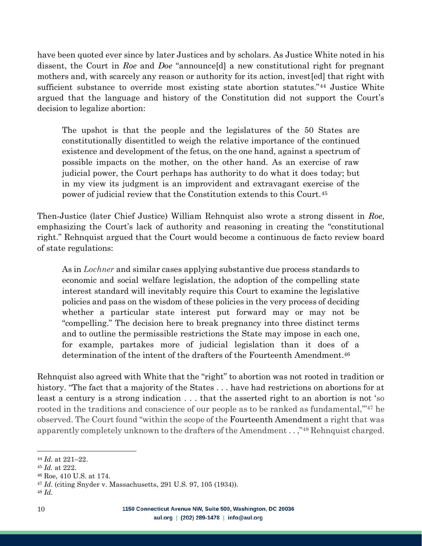have been quoted ever since by later Justices and by scholars. As Justice White noted in his dissent, the Court in *Roe* and *Doe* "announce[d] a new constitutional right for pregnant mothers and, with scarcely any reason or authority for its action, invest[ed] that right with sufficient substance to override most existing state abortion statutes."<sup>44</sup> Justice White argued that the language and history of the Constitution did not support the Court's decision to legalize abortion:

The upshot is that the people and the legislatures of the 50 States are constitutionally disentitled to weigh the relative importance of the continued existence and development of the fetus, on the one hand, against a spectrum of possible impacts on the mother, on the other hand. As an exercise of raw judicial power, the Court perhaps has authority to do what it does today; but in my view its judgment is an improvident and extravagant exercise of the power of judicial review that the Constitution extends to this Court.<sup>45</sup>

Then-Justice (later Chief Justice) William Rehnquist also wrote a strong dissent in *Roe*, emphasizing the Court's lack of authority and reasoning in creating the "constitutional right." Rehnquist argued that the Court would become a continuous de facto review board of state regulations:

As in *Lochner* and similar cases applying substantive due process standards to economic and social welfare legislation, the adoption of the compelling state interest standard will inevitably require this Court to examine the legislative policies and pass on the wisdom of these policies in the very process of deciding whether a particular state interest put forward may or may not be "compelling." The decision here to break pregnancy into three distinct terms and to outline the permissible restrictions the State may impose in each one, for example, partakes more of judicial legislation than it does of a determination of the intent of the drafters of the Fourteenth Amendment.<sup>46</sup>

Rehnquist also agreed with White that the "right" to abortion was not rooted in tradition or history. "The fact that a majority of the States . . . have had restrictions on abortions for at least a century is a strong indication . . . that the asserted right to an abortion is not 'so rooted in the traditions and conscience of our people as to be ranked as fundamental,"<sup>47</sup> he observed. The Court found "within the scope of the Fourteenth Amendment a right that was apparently completely unknown to the drafters of the Amendment . . ," <sup>48</sup> Rehnquist charged.

<sup>44</sup> *Id*. at 221–22.

<sup>45</sup> *Id*. at 222.

<sup>46</sup> Roe, 410 U.S. at 174.

<sup>47</sup> *Id*. (citing Snyder v. Massachusetts, 291 U.S. 97, 105 (1934)).

<sup>48</sup> *Id*.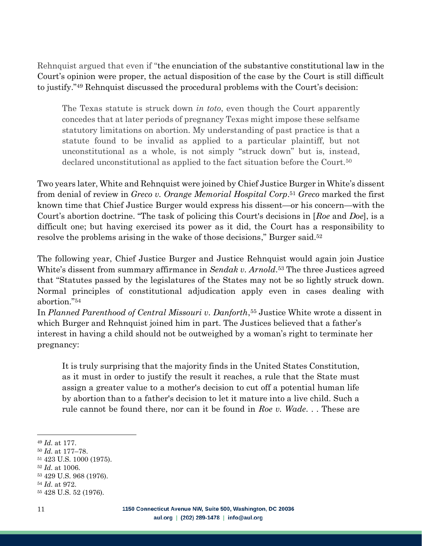Rehnquist argued that even if "the enunciation of the substantive constitutional law in the Court's opinion were proper, the actual disposition of the case by the Court is still difficult to justify." <sup>49</sup> Rehnquist discussed the procedural problems with the Court's decision:

The Texas statute is struck down *in toto*, even though the Court apparently concedes that at later periods of pregnancy Texas might impose these selfsame statutory limitations on abortion. My understanding of past practice is that a statute found to be invalid as applied to a particular plaintiff, but not unconstitutional as a whole, is not simply "struck down" but is, instead, declared unconstitutional as applied to the fact situation before the Court.<sup>50</sup>

Two years later, White and Rehnquist were joined by Chief Justice Burger in White's dissent from denial of review in *Greco v. Orange Memorial Hospital Corp*. <sup>51</sup> *Greco* marked the first known time that Chief Justice Burger would express his dissent—or his concern—with the Court's abortion doctrine. "The task of policing this Court's decisions in [*Roe* and *Doe*], is a difficult one; but having exercised its power as it did, the Court has a responsibility to resolve the problems arising in the wake of those decisions," Burger said.<sup>52</sup>

The following year, Chief Justice Burger and Justice Rehnquist would again join Justice White's dissent from summary affirmance in *Sendak v. Arnold*. <sup>53</sup> The three Justices agreed that "Statutes passed by the legislatures of the States may not be so lightly struck down. Normal principles of constitutional adjudication apply even in cases dealing with abortion."<sup>54</sup>

In *Planned Parenthood of Central Missouri v. Danforth*, <sup>55</sup> Justice White wrote a dissent in which Burger and Rehnquist joined him in part. The Justices believed that a father's interest in having a child should not be outweighed by a woman's right to terminate her pregnancy:

It is truly surprising that the majority finds in the United States Constitution, as it must in order to justify the result it reaches, a rule that the State must assign a greater value to a mother's decision to cut off a potential human life by abortion than to a father's decision to let it mature into a live child. Such a rule cannot be found there, nor can it be found in *Roe v. Wade*. . . These are

<sup>53</sup> 429 U.S. 968 (1976).

<sup>49</sup> *Id*. at 177.

<sup>50</sup> *Id*. at 177–78.

<sup>51</sup> 423 U.S. 1000 (1975).

<sup>52</sup> *Id*. at 1006.

<sup>54</sup> *Id*. at 972.

<sup>55</sup> 428 U.S. 52 (1976).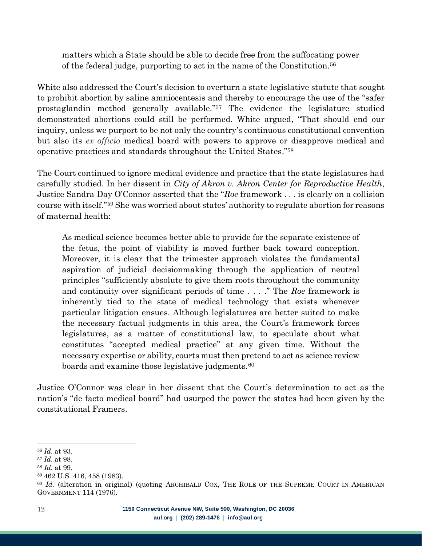matters which a State should be able to decide free from the suffocating power of the federal judge, purporting to act in the name of the Constitution. 56

White also addressed the Court's decision to overturn a state legislative statute that sought to prohibit abortion by saline amniocentesis and thereby to encourage the use of the "safer prostaglandin method generally available." <sup>57</sup> The evidence the legislature studied demonstrated abortions could still be performed. White argued, "That should end our inquiry, unless we purport to be not only the country's continuous constitutional convention but also its *ex officio* medical board with powers to approve or disapprove medical and operative practices and standards throughout the United States."<sup>58</sup>

The Court continued to ignore medical evidence and practice that the state legislatures had carefully studied. In her dissent in *City of Akron v. Akron Center for Reproductive Health*, Justice Sandra Day O'Connor asserted that the "*Roe* framework . . . is clearly on a collision course with itself."<sup>59</sup> She was worried about states' authority to regulate abortion for reasons of maternal health:

As medical science becomes better able to provide for the separate existence of the fetus, the point of viability is moved further back toward conception. Moreover, it is clear that the trimester approach violates the fundamental aspiration of judicial decisionmaking through the application of neutral principles "sufficiently absolute to give them roots throughout the community and continuity over significant periods of time . . . ." The *Roe* framework is inherently tied to the state of medical technology that exists whenever particular litigation ensues. Although legislatures are better suited to make the necessary factual judgments in this area, the Court's framework forces legislatures, as a matter of constitutional law, to speculate about what constitutes "accepted medical practice" at any given time. Without the necessary expertise or ability, courts must then pretend to act as science review boards and examine those legislative judgments.<sup>60</sup>

Justice O'Connor was clear in her dissent that the Court's determination to act as the nation's "de facto medical board" had usurped the power the states had been given by the constitutional Framers.

<sup>56</sup> *Id*. at 93.

<sup>57</sup> *Id*. at 98.

<sup>58</sup> *Id*. at 99.

<sup>59</sup> 462 U.S. 416, 458 (1983).

<sup>&</sup>lt;sup>60</sup> *Id.* (alteration in original) (quoting ARCHIBALD COX, THE ROLE OF THE SUPREME COURT IN AMERICAN GOVERNMENT 114 (1976).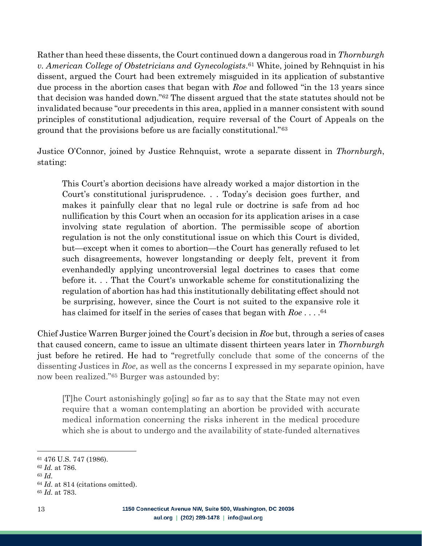Rather than heed these dissents, the Court continued down a dangerous road in *Thornburgh v. American College of Obstetricians and Gynecologists*. <sup>61</sup> White, joined by Rehnquist in his dissent, argued the Court had been extremely misguided in its application of substantive due process in the abortion cases that began with *Roe* and followed "in the 13 years since that decision was handed down."<sup>62</sup> The dissent argued that the state statutes should not be invalidated because "our precedents in this area, applied in a manner consistent with sound principles of constitutional adjudication, require reversal of the Court of Appeals on the ground that the provisions before us are facially constitutional."<sup>63</sup>

Justice O'Connor, joined by Justice Rehnquist, wrote a separate dissent in *Thornburgh*, stating:

This Court's abortion decisions have already worked a major distortion in the Court's constitutional jurisprudence. . . Today's decision goes further, and makes it painfully clear that no legal rule or doctrine is safe from ad hoc nullification by this Court when an occasion for its application arises in a case involving state regulation of abortion. The permissible scope of abortion regulation is not the only constitutional issue on which this Court is divided, but—except when it comes to abortion—the Court has generally refused to let such disagreements, however longstanding or deeply felt, prevent it from evenhandedly applying uncontroversial legal doctrines to cases that come before it. . . That the Court's unworkable scheme for constitutionalizing the regulation of abortion has had this institutionally debilitating effect should not be surprising, however, since the Court is not suited to the expansive role it has claimed for itself in the series of cases that began with *Roe* . . . . 64

Chief Justice Warren Burger joined the Court's decision in *Roe* but, through a series of cases that caused concern, came to issue an ultimate dissent thirteen years later in *Thornburgh* just before he retired. He had to "regretfully conclude that some of the concerns of the dissenting Justices in *Roe*, as well as the concerns I expressed in my separate opinion, have now been realized."<sup>65</sup> Burger was astounded by:

[T]he Court astonishingly go[ing] so far as to say that the State may not even require that a woman contemplating an abortion be provided with accurate medical information concerning the risks inherent in the medical procedure which she is about to undergo and the availability of state-funded alternatives

<sup>61</sup> 476 U.S. 747 (1986).

<sup>62</sup> *Id.* at 786.

<sup>63</sup> *Id*.

<sup>64</sup> *Id*. at 814 (citations omitted).

<sup>65</sup> *Id*. at 783.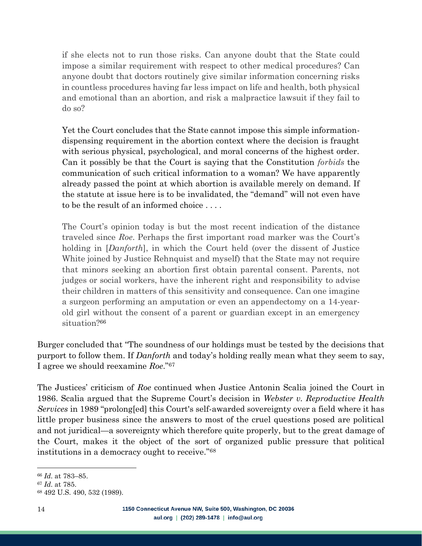if she elects not to run those risks. Can anyone doubt that the State could impose a similar requirement with respect to other medical procedures? Can anyone doubt that doctors routinely give similar information concerning risks in countless procedures having far less impact on life and health, both physical and emotional than an abortion, and risk a malpractice lawsuit if they fail to do so?

Yet the Court concludes that the State cannot impose this simple informationdispensing requirement in the abortion context where the decision is fraught with serious physical, psychological, and moral concerns of the highest order. Can it possibly be that the Court is saying that the Constitution *forbids* the communication of such critical information to a woman? We have apparently already passed the point at which abortion is available merely on demand. If the statute at issue here is to be invalidated, the "demand" will not even have to be the result of an informed choice . . . .

The Court's opinion today is but the most recent indication of the distance traveled since *Roe*. Perhaps the first important road marker was the Court's holding in [*Danforth*], in which the Court held (over the dissent of Justice White joined by Justice Rehnquist and myself) that the State may not require that minors seeking an abortion first obtain parental consent. Parents, not judges or social workers, have the inherent right and responsibility to advise their children in matters of this sensitivity and consequence. Can one imagine a surgeon performing an amputation or even an appendectomy on a 14-yearold girl without the consent of a parent or guardian except in an emergency situation?<sup>66</sup>

Burger concluded that "The soundness of our holdings must be tested by the decisions that purport to follow them. If *Danforth* and today's holding really mean what they seem to say, I agree we should reexamine *Roe*."<sup>67</sup>

The Justices' criticism of *Roe* continued when Justice Antonin Scalia joined the Court in 1986. Scalia argued that the Supreme Court's decision in *Webster v. Reproductive Health Services* in 1989 "prolong[ed] this Court's self-awarded sovereignty over a field where it has little proper business since the answers to most of the cruel questions posed are political and not juridical—a sovereignty which therefore quite properly, but to the great damage of the Court, makes it the object of the sort of organized public pressure that political institutions in a democracy ought to receive." 68

<sup>66</sup> *Id*. at 783–85.

<sup>67</sup> *Id*. at 785.

<sup>68</sup> 492 U.S. 490, 532 (1989).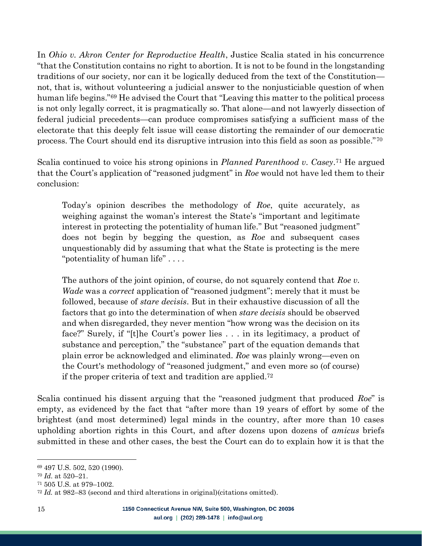In *Ohio v. Akron Center for Reproductive Health*, Justice Scalia stated in his concurrence "that the Constitution contains no right to abortion. It is not to be found in the longstanding traditions of our society, nor can it be logically deduced from the text of the Constitution not, that is, without volunteering a judicial answer to the nonjusticiable question of when human life begins."<sup>69</sup> He advised the Court that "Leaving this matter to the political process is not only legally correct, it is pragmatically so. That alone—and not lawyerly dissection of federal judicial precedents—can produce compromises satisfying a sufficient mass of the electorate that this deeply felt issue will cease distorting the remainder of our democratic process. The Court should end its disruptive intrusion into this field as soon as possible."<sup>70</sup>

Scalia continued to voice his strong opinions in *Planned Parenthood v. Casey*. <sup>71</sup> He argued that the Court's application of "reasoned judgment" in *Roe* would not have led them to their conclusion:

Today's opinion describes the methodology of *Roe*, quite accurately, as weighing against the woman's interest the State's "important and legitimate interest in protecting the potentiality of human life." But "reasoned judgment" does not begin by begging the question, as *Roe* and subsequent cases unquestionably did by assuming that what the State is protecting is the mere "potentiality of human life" . . . .

The authors of the joint opinion, of course, do not squarely contend that *Roe v. Wade* was a *correct* application of "reasoned judgment"; merely that it must be followed, because of *stare decisis*. But in their exhaustive discussion of all the factors that go into the determination of when *stare decisis* should be observed and when disregarded, they never mention "how wrong was the decision on its face?" Surely, if "[t]he Court's power lies . . . in its legitimacy, a product of substance and perception," the "substance" part of the equation demands that plain error be acknowledged and eliminated. *Roe* was plainly wrong—even on the Court's methodology of "reasoned judgment," and even more so (of course) if the proper criteria of text and tradition are applied.<sup>72</sup>

Scalia continued his dissent arguing that the "reasoned judgment that produced *Roe*" is empty, as evidenced by the fact that "after more than 19 years of effort by some of the brightest (and most determined) legal minds in the country, after more than 10 cases upholding abortion rights in this Court, and after dozens upon dozens of *amicus* briefs submitted in these and other cases, the best the Court can do to explain how it is that the

<sup>69</sup> 497 U.S. 502, 520 (1990).

<sup>70</sup> *Id*. at 520–21.

<sup>71</sup> 505 U.S. at 979–1002.

<sup>72</sup> *Id.* at 982–83 (second and third alterations in original)(citations omitted).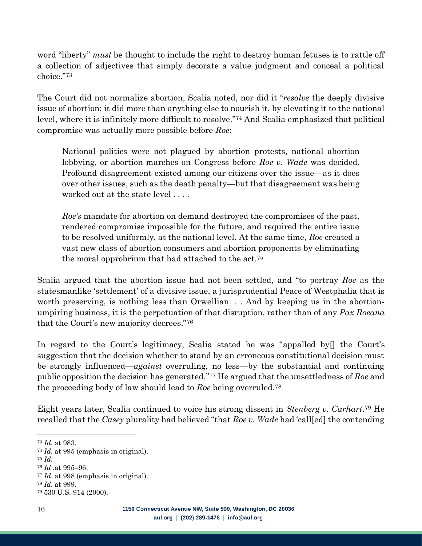word "liberty" *must* be thought to include the right to destroy human fetuses is to rattle off a collection of adjectives that simply decorate a value judgment and conceal a political choice."<sup>73</sup>

The Court did not normalize abortion, Scalia noted, nor did it "*resolve* the deeply divisive issue of abortion; it did more than anything else to nourish it, by elevating it to the national level, where it is infinitely more difficult to resolve." <sup>74</sup> And Scalia emphasized that political compromise was actually more possible before *Roe*:

National politics were not plagued by abortion protests, national abortion lobbying, or abortion marches on Congress before *Roe v. Wade* was decided. Profound disagreement existed among our citizens over the issue—as it does over other issues, such as the death penalty—but that disagreement was being worked out at the state level . . . .

*Roe's* mandate for abortion on demand destroyed the compromises of the past, rendered compromise impossible for the future, and required the entire issue to be resolved uniformly, at the national level. At the same time, *Roe* created a vast new class of abortion consumers and abortion proponents by eliminating the moral opprobrium that had attached to the act.<sup>75</sup>

Scalia argued that the abortion issue had not been settled, and "to portray *Roe* as the statesmanlike 'settlement' of a divisive issue, a jurisprudential Peace of Westphalia that is worth preserving, is nothing less than Orwellian. . . And by keeping us in the abortionumpiring business, it is the perpetuation of that disruption, rather than of any *Pax Roeana* that the Court's new majority decrees."<sup>76</sup>

In regard to the Court's legitimacy, Scalia stated he was "appalled by[] the Court's suggestion that the decision whether to stand by an erroneous constitutional decision must be strongly influenced—*against* overruling, no less—by the substantial and continuing public opposition the decision has generated." <sup>77</sup> He argued that the unsettledness of *Roe* and the proceeding body of law should lead to *Roe* being overruled.<sup>78</sup>

Eight years later, Scalia continued to voice his strong dissent in *Stenberg v. Carhart*. <sup>79</sup> He recalled that the *Casey* plurality had believed "that *Roe v. Wade* had 'call[ed] the contending

<sup>73</sup> *Id*. at 983.

<sup>74</sup> *Id*. at 995 (emphasis in original).

<sup>75</sup> *Id*.

<sup>76</sup> *Id* .at 995–96.

<sup>77</sup> *Id*. at 998 (emphasis in original).

<sup>78</sup> *Id*. at 999.

<sup>79</sup> 530 U.S. 914 (2000).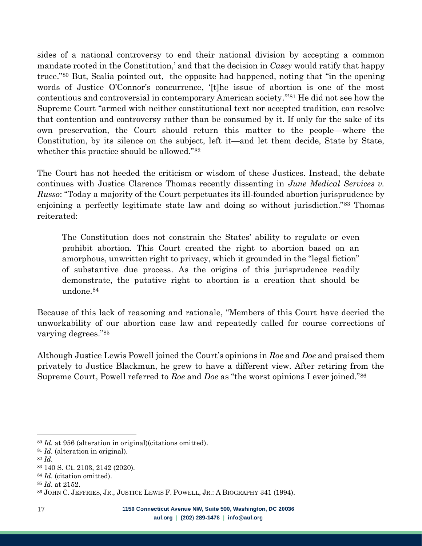sides of a national controversy to end their national division by accepting a common mandate rooted in the Constitution,' and that the decision in *Casey* would ratify that happy truce." <sup>80</sup> But, Scalia pointed out, the opposite had happened, noting that "in the opening words of Justice O'Connor's concurrence, '[t]he issue of abortion is one of the most contentious and controversial in contemporary American society.'"<sup>81</sup> He did not see how the Supreme Court "armed with neither constitutional text nor accepted tradition, can resolve that contention and controversy rather than be consumed by it. If only for the sake of its own preservation, the Court should return this matter to the people—where the Constitution, by its silence on the subject, left it—and let them decide, State by State, whether this practice should be allowed."<sup>82</sup>

The Court has not heeded the criticism or wisdom of these Justices. Instead, the debate continues with Justice Clarence Thomas recently dissenting in *June Medical Services v. Russo*: "Today a majority of the Court perpetuates its ill-founded abortion jurisprudence by enjoining a perfectly legitimate state law and doing so without jurisdiction."<sup>83</sup> Thomas reiterated:

The Constitution does not constrain the States' ability to regulate or even prohibit abortion. This Court created the right to abortion based on an amorphous, unwritten right to privacy, which it grounded in the "legal fiction" of substantive due process. As the origins of this jurisprudence readily demonstrate, the putative right to abortion is a creation that should be undone.<sup>84</sup>

Because of this lack of reasoning and rationale, "Members of this Court have decried the unworkability of our abortion case law and repeatedly called for course corrections of varying degrees."<sup>85</sup>

Although Justice Lewis Powell joined the Court's opinions in *Roe* and *Doe* and praised them privately to Justice Blackmun, he grew to have a different view. After retiring from the Supreme Court, Powell referred to *Roe* and *Doe* as "the worst opinions I ever joined."<sup>86</sup>

<sup>80</sup> *Id*. at 956 (alteration in original)(citations omitted).

<sup>81</sup> *Id*. (alteration in original).

<sup>82</sup> *Id*.

<sup>83</sup> 140 S. Ct. 2103, 2142 (2020).

<sup>84</sup> *Id*. (citation omitted).

<sup>85</sup> *Id*. at 2152.

<sup>86</sup> JOHN C. JEFFRIES, JR., JUSTICE LEWIS F. POWELL, JR.: A BIOGRAPHY 341 (1994).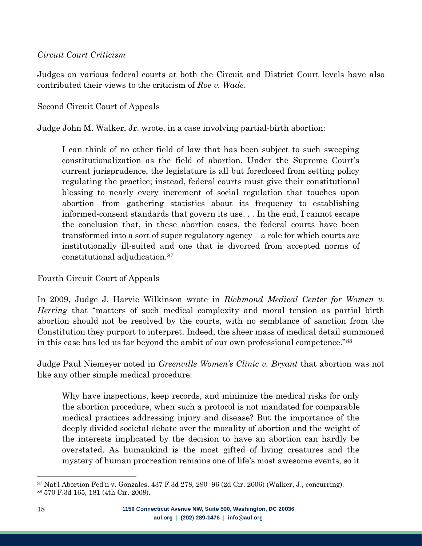#### <span id="page-17-0"></span>*Circuit Court Criticism*

Judges on various federal courts at both the Circuit and District Court levels have also contributed their views to the criticism of *Roe v. Wade*.

Second Circuit Court of Appeals

Judge John M. Walker, Jr. wrote, in a case involving partial-birth abortion:

I can think of no other field of law that has been subject to such sweeping constitutionalization as the field of abortion. Under the Supreme Court's current jurisprudence, the legislature is all but foreclosed from setting policy regulating the practice; instead, federal courts must give their constitutional blessing to nearly every increment of social regulation that touches upon abortion—from gathering statistics about its frequency to establishing informed-consent standards that govern its use. . . In the end, I cannot escape the conclusion that, in these abortion cases, the federal courts have been transformed into a sort of super regulatory agency—a role for which courts are institutionally ill-suited and one that is divorced from accepted norms of constitutional adjudication.<sup>87</sup>

Fourth Circuit Court of Appeals

In 2009, Judge J. Harvie Wilkinson wrote in *Richmond Medical Center for Women v. Herring* that "matters of such medical complexity and moral tension as partial birth abortion should not be resolved by the courts, with no semblance of sanction from the Constitution they purport to interpret. Indeed, the sheer mass of medical detail summoned in this case has led us far beyond the ambit of our own professional competence."<sup>88</sup>

Judge Paul Niemeyer noted in *Greenville Women's Clinic v. Bryant* that abortion was not like any other simple medical procedure:

Why have inspections, keep records, and minimize the medical risks for only the abortion procedure, when such a protocol is not mandated for comparable medical practices addressing injury and disease? But the importance of the deeply divided societal debate over the morality of abortion and the weight of the interests implicated by the decision to have an abortion can hardly be overstated. As humankind is the most gifted of living creatures and the mystery of human procreation remains one of life's most awesome events, so it

<sup>87</sup> Nat'l Abortion Fed'n v. Gonzales, 437 F.3d 278, 290–96 (2d Cir. 2006) (Walker, J., concurring). <sup>88</sup> 570 F.3d 165, 181 (4th Cir. 2009).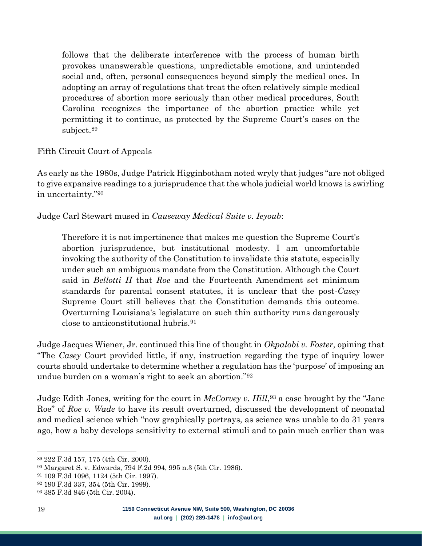follows that the deliberate interference with the process of human birth provokes unanswerable questions, unpredictable emotions, and unintended social and, often, personal consequences beyond simply the medical ones. In adopting an array of regulations that treat the often relatively simple medical procedures of abortion more seriously than other medical procedures, South Carolina recognizes the importance of the abortion practice while yet permitting it to continue, as protected by the Supreme Court's cases on the subject. 89

Fifth Circuit Court of Appeals

As early as the 1980s, Judge Patrick Higginbotham noted wryly that judges "are not obliged to give expansive readings to a jurisprudence that the whole judicial world knows is swirling in uncertainty."<sup>90</sup>

Judge Carl Stewart mused in *Causeway Medical Suite v. Ieyoub*:

Therefore it is not impertinence that makes me question the Supreme Court's abortion jurisprudence, but institutional modesty. I am uncomfortable invoking the authority of the Constitution to invalidate this statute, especially under such an ambiguous mandate from the Constitution. Although the Court said in *Bellotti II* that *Roe* and the Fourteenth Amendment set minimum standards for parental consent statutes, it is unclear that the post-*Casey* Supreme Court still believes that the Constitution demands this outcome. Overturning Louisiana's legislature on such thin authority runs dangerously close to anticonstitutional hubris.<sup>91</sup>

Judge Jacques Wiener, Jr. continued this line of thought in *Okpalobi v. Foster,* opining that "The *Casey* Court provided little, if any, instruction regarding the type of inquiry lower courts should undertake to determine whether a regulation has the 'purpose' of imposing an undue burden on a woman's right to seek an abortion."<sup>92</sup>

Judge Edith Jones, writing for the court in *McCorvey v. Hill*, <sup>93</sup> a case brought by the "Jane Roe" of *Roe v. Wade* to have its result overturned, discussed the development of neonatal and medical science which "now graphically portrays, as science was unable to do 31 years ago, how a baby develops sensitivity to external stimuli and to pain much earlier than was

<sup>89</sup> 222 F.3d 157, 175 (4th Cir. 2000).

<sup>90</sup> Margaret S. v. Edwards, 794 F.2d 994, 995 n.3 (5th Cir. 1986).

<sup>91</sup> 109 F.3d 1096, 1124 (5th Cir. 1997).

<sup>92</sup> 190 F.3d 337, 354 (5th Cir. 1999).

<sup>93</sup> 385 F.3d 846 (5th Cir. 2004).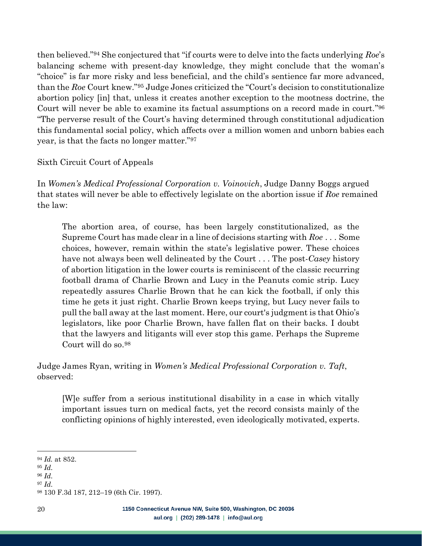then believed."<sup>94</sup> She conjectured that "if courts were to delve into the facts underlying *Roe*'s balancing scheme with present-day knowledge, they might conclude that the woman's "choice" is far more risky and less beneficial, and the child's sentience far more advanced, than the *Roe* Court knew." <sup>95</sup> Judge Jones criticized the "Court's decision to constitutionalize abortion policy [in] that, unless it creates another exception to the mootness doctrine, the Court will never be able to examine its factual assumptions on a record made in court." 96 "The perverse result of the Court's having determined through constitutional adjudication this fundamental social policy, which affects over a million women and unborn babies each year, is that the facts no longer matter."<sup>97</sup>

#### Sixth Circuit Court of Appeals

In *Women's Medical Professional Corporation v. Voinovich*, Judge Danny Boggs argued that states will never be able to effectively legislate on the abortion issue if *Roe* remained the law:

The abortion area, of course, has been largely constitutionalized, as the Supreme Court has made clear in a line of decisions starting with *Roe* . . . Some choices, however, remain within the state's legislative power. These choices have not always been well delineated by the Court . . . The post-*Casey* history of abortion litigation in the lower courts is reminiscent of the classic recurring football drama of Charlie Brown and Lucy in the Peanuts comic strip. Lucy repeatedly assures Charlie Brown that he can kick the football, if only this time he gets it just right. Charlie Brown keeps trying, but Lucy never fails to pull the ball away at the last moment. Here, our court's judgment is that Ohio's legislators, like poor Charlie Brown, have fallen flat on their backs. I doubt that the lawyers and litigants will ever stop this game. Perhaps the Supreme Court will do so.<sup>98</sup>

Judge James Ryan, writing in *Women's Medical Professional Corporation v. Taft*, observed:

[W]e suffer from a serious institutional disability in a case in which vitally important issues turn on medical facts, yet the record consists mainly of the conflicting opinions of highly interested, even ideologically motivated, experts.

<sup>94</sup> *Id.* at 852.

<sup>95</sup> *Id*.

<sup>96</sup> *Id*.

<sup>97</sup> *Id*.

<sup>98</sup> 130 F.3d 187, 212–19 (6th Cir. 1997).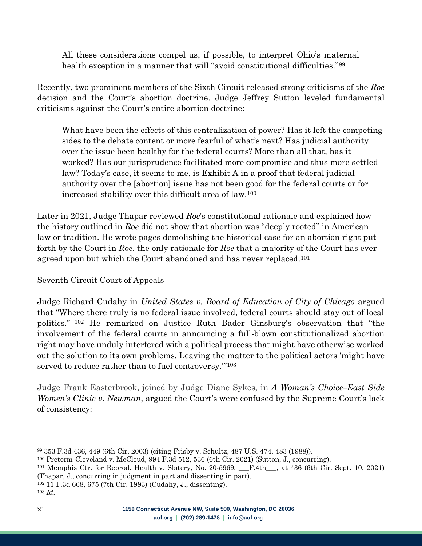All these considerations compel us, if possible, to interpret Ohio's maternal health exception in a manner that will "avoid constitutional difficulties."<sup>99</sup>

Recently, two prominent members of the Sixth Circuit released strong criticisms of the *Roe* decision and the Court's abortion doctrine. Judge Jeffrey Sutton leveled fundamental criticisms against the Court's entire abortion doctrine:

What have been the effects of this centralization of power? Has it left the competing sides to the debate content or more fearful of what's next? Has judicial authority over the issue been healthy for the federal courts? More than all that, has it worked? Has our jurisprudence facilitated more compromise and thus more settled law? Today's case, it seems to me, is Exhibit A in a proof that federal judicial authority over the [abortion] issue has not been good for the federal courts or for increased stability over this difficult area of law.<sup>100</sup>

Later in 2021, Judge Thapar reviewed *Roe*'s constitutional rationale and explained how the history outlined in *Roe* did not show that abortion was "deeply rooted" in American law or tradition. He wrote pages demolishing the historical case for an abortion right put forth by the Court in *Roe*, the only rationale for *Roe* that a majority of the Court has ever agreed upon but which the Court abandoned and has never replaced.<sup>101</sup>

## Seventh Circuit Court of Appeals

Judge Richard Cudahy in *United States v. Board of Education of City of Chicago* argued that "Where there truly is no federal issue involved, federal courts should stay out of local politics." <sup>102</sup> He remarked on Justice Ruth Bader Ginsburg's observation that "the involvement of the federal courts in announcing a full-blown constitutionalized abortion right may have unduly interfered with a political process that might have otherwise worked out the solution to its own problems. Leaving the matter to the political actors 'might have served to reduce rather than to fuel controversy."<sup>103</sup>

Judge Frank Easterbrook, joined by Judge Diane Sykes, in *A Woman's Choice–East Side Women's Clinic v. Newman*, argued the Court's were confused by the Supreme Court's lack of consistency:

<sup>102</sup> 11 F.3d 668, 675 (7th Cir. 1993) (Cudahy, J., dissenting).

<sup>99</sup> 353 F.3d 436, 449 (6th Cir. 2003) (citing Frisby v. Schultz, 487 U.S. 474, 483 (1988)).

<sup>100</sup> Preterm-Cleveland v. McCloud, 994 F.3d 512, 536 (6th Cir. 2021) (Sutton, J., concurring).

<sup>&</sup>lt;sup>101</sup> Memphis Ctr. for Reprod. Health v. Slatery, No.  $20-5969$ ,  $\quad$  F.4th<sub>, at</sub> \*36 (6th Cir. Sept. 10, 2021) (Thapar, J., concurring in judgment in part and dissenting in part).

<sup>103</sup> *Id*.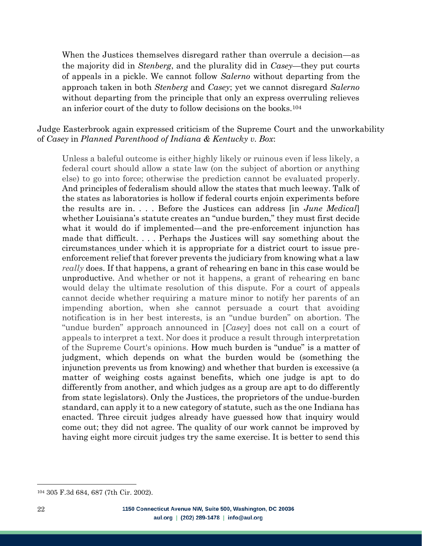When the Justices themselves disregard rather than overrule a decision—as the majority did in *Stenberg*, and the plurality did in *Casey*—they put courts of appeals in a pickle. We cannot follow *Salerno* without departing from the approach taken in both *Stenberg* and *Casey*; yet we cannot disregard *Salerno* without departing from the principle that only an express overruling relieves an inferior court of the duty to follow decisions on the books.<sup>104</sup>

#### Judge Easterbrook again expressed criticism of the Supreme Court and the unworkability of *Casey* in *Planned Parenthood of Indiana & Kentucky v. Box*:

Unless a baleful outcome is either highly likely or ruinous even if less likely, a federal court should allow a state law (on the subject of abortion or anything else) to go into force; otherwise the prediction cannot be evaluated properly. And principles of federalism should allow the states that much leeway. Talk of the states as laboratories is hollow if federal courts enjoin experiments before the results are in. . . . Before the Justices can address [in *June Medical*] whether Louisiana's statute creates an "undue burden," they must first decide what it would do if implemented—and the pre-enforcement injunction has made that difficult. . . . Perhaps the Justices will say something about the circumstances under which it is appropriate for a district court to issue preenforcement relief that forever prevents the judiciary from knowing what a law *really* does. If that happens, a grant of rehearing en banc in this case would be unproductive. And whether or not it happens, a grant of rehearing en banc would delay the ultimate resolution of this dispute. For a court of appeals cannot decide whether requiring a mature minor to notify her parents of an impending abortion, when she cannot persuade a court that avoiding notification is in her best interests, is an "undue burden" on abortion. The "undue burden" approach announced in [*Casey*] does not call on a court of appeals to interpret a text. Nor does it produce a result through interpretation of the Supreme Court's opinions. How much burden is "undue" is a matter of judgment, which depends on what the burden would be (something the injunction prevents us from knowing) and whether that burden is excessive (a matter of weighing costs against benefits, which one judge is apt to do differently from another, and which judges as a group are apt to do differently from state legislators). Only the Justices, the proprietors of the undue-burden standard, can apply it to a new category of statute, such as the one Indiana has enacted. Three circuit judges already have guessed how that inquiry would come out; they did not agree. The quality of our work cannot be improved by having eight more circuit judges try the same exercise. It is better to send this

<sup>104</sup> 305 F.3d 684, 687 (7th Cir. 2002).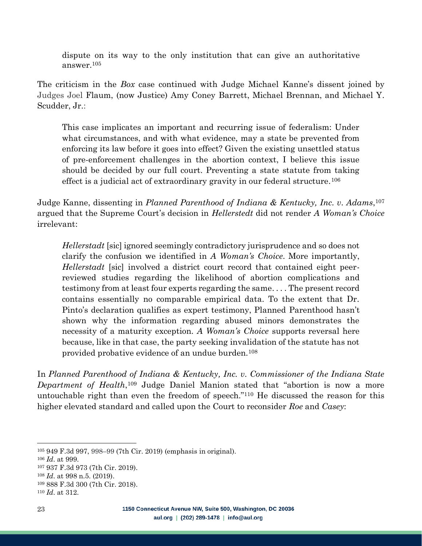dispute on its way to the only institution that can give an authoritative answer.<sup>105</sup>

The criticism in the *Box* case continued with Judge Michael Kanne's dissent joined by Judges Joel Flaum, (now Justice) Amy Coney Barrett, Michael Brennan, and Michael Y. Scudder, Jr.:

This case implicates an important and recurring issue of federalism: Under what circumstances, and with what evidence, may a state be prevented from enforcing its law before it goes into effect? Given the existing unsettled status of pre-enforcement challenges in the abortion context, I believe this issue should be decided by our full court. Preventing a state statute from taking effect is a judicial act of extraordinary gravity in our federal structure.<sup>106</sup>

Judge Kanne, dissenting in *Planned Parenthood of Indiana & Kentucky, Inc. v. Adams*, 107 argued that the Supreme Court's decision in *Hellerstedt* did not render *A Woman's Choice* irrelevant:

*Hellerstadt* [sic] ignored seemingly contradictory jurisprudence and so does not clarify the confusion we identified in *A Woman's Choice*. More importantly, *Hellerstadt* [sic] involved a district court record that contained eight peerreviewed studies regarding the likelihood of abortion complications and testimony from at least four experts regarding the same. . . . The present record contains essentially no comparable empirical data. To the extent that Dr. Pinto's declaration qualifies as expert testimony, Planned Parenthood hasn't shown why the information regarding abused minors demonstrates the necessity of a maturity exception. *A Woman's Choice* supports reversal here because, like in that case, the party seeking invalidation of the statute has not provided probative evidence of an undue burden.<sup>108</sup>

In *Planned Parenthood of Indiana & Kentucky, Inc. v. Commissioner of the Indiana State Department of Health*, <sup>109</sup> Judge Daniel Manion stated that "abortion is now a more untouchable right than even the freedom of speech."<sup>110</sup> He discussed the reason for this higher elevated standard and called upon the Court to reconsider *Roe* and *Casey*:

<sup>105</sup> 949 F.3d 997, 998–99 (7th Cir. 2019) (emphasis in original).

<sup>106</sup> *Id*. at 999.

<sup>107</sup> 937 F.3d 973 (7th Cir. 2019).

<sup>108</sup> *Id*. at 998 n.5. (2019).

<sup>109</sup> 888 F.3d 300 (7th Cir. 2018).

<sup>110</sup> *Id*. at 312.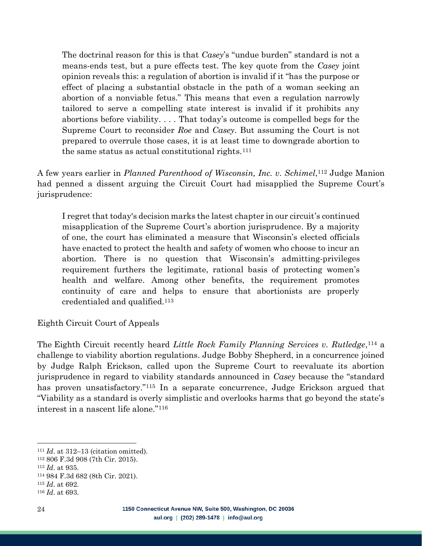The doctrinal reason for this is that *Casey*'s "undue burden" standard is not a means-ends test, but a pure effects test. The key quote from the *Casey* joint opinion reveals this: a regulation of abortion is invalid if it "has the purpose or effect of placing a substantial obstacle in the path of a woman seeking an abortion of a nonviable fetus." This means that even a regulation narrowly tailored to serve a compelling state interest is invalid if it prohibits any abortions before viability. . . . That today's outcome is compelled begs for the Supreme Court to reconsider *Roe* and *Casey*. But assuming the Court is not prepared to overrule those cases, it is at least time to downgrade abortion to the same status as actual constitutional rights.<sup>111</sup>

A few years earlier in *Planned Parenthood of Wisconsin, Inc. v. Schimel*, <sup>112</sup> Judge Manion had penned a dissent arguing the Circuit Court had misapplied the Supreme Court's jurisprudence:

I regret that today's decision marks the latest chapter in our circuit's continued misapplication of the Supreme Court's abortion jurisprudence. By a majority of one, the court has eliminated a measure that Wisconsin's elected officials have enacted to protect the health and safety of women who choose to incur an abortion. There is no question that Wisconsin's admitting-privileges requirement furthers the legitimate, rational basis of protecting women's health and welfare. Among other benefits, the requirement promotes continuity of care and helps to ensure that abortionists are properly credentialed and qualified.<sup>113</sup>

Eighth Circuit Court of Appeals

The Eighth Circuit recently heard *Little Rock Family Planning Services v. Rutledge*, <sup>114</sup> a challenge to viability abortion regulations. Judge Bobby Shepherd, in a concurrence joined by Judge Ralph Erickson, called upon the Supreme Court to reevaluate its abortion jurisprudence in regard to viability standards announced in *Casey* because the "standard has proven unsatisfactory."<sup>115</sup> In a separate concurrence, Judge Erickson argued that "Viability as a standard is overly simplistic and overlooks harms that go beyond the state's interest in a nascent life alone."<sup>116</sup>

<sup>111</sup> *Id*. at 312–13 (citation omitted).

<sup>112</sup> 806 F.3d 908 (7th Cir. 2015).

<sup>113</sup> *Id*. at 935.

<sup>114</sup> 984 F.3d 682 (8th Cir. 2021).

<sup>115</sup> *Id*. at 692.

<sup>116</sup> *Id*. at 693.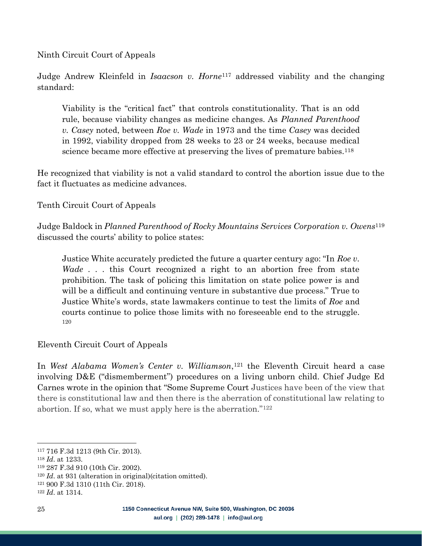Ninth Circuit Court of Appeals

Judge Andrew Kleinfeld in *Isaacson v. Horne*<sup>117</sup> addressed viability and the changing standard:

Viability is the "critical fact" that controls constitutionality. That is an odd rule, because viability changes as medicine changes. As *Planned Parenthood v. Casey* noted, between *Roe v. Wade* in 1973 and the time *Casey* was decided in 1992, viability dropped from 28 weeks to 23 or 24 weeks, because medical science became more effective at preserving the lives of premature babies.<sup>118</sup>

He recognized that viability is not a valid standard to control the abortion issue due to the fact it fluctuates as medicine advances.

Tenth Circuit Court of Appeals

Judge Baldock in *Planned Parenthood of Rocky Mountains Services Corporation v. Owens* 119 discussed the courts' ability to police states:

Justice White accurately predicted the future a quarter century ago: "In *Roe v. Wade* . . . this Court recognized a right to an abortion free from state prohibition. The task of policing this limitation on state police power is and will be a difficult and continuing venture in substantive due process." True to Justice White's words, state lawmakers continue to test the limits of *Roe* and courts continue to police those limits with no foreseeable end to the struggle. 120

Eleventh Circuit Court of Appeals

In *West Alabama Women's Center v. Williamson*, <sup>121</sup> the Eleventh Circuit heard a case involving D&E ("dismemberment") procedures on a living unborn child. Chief Judge Ed Carnes wrote in the opinion that "Some Supreme Court Justices have been of the view that there is constitutional law and then there is the aberration of constitutional law relating to abortion. If so, what we must apply here is the aberration."<sup>122</sup>

<sup>117</sup> 716 F.3d 1213 (9th Cir. 2013).

<sup>118</sup> *Id*. at 1233.

<sup>119</sup> 287 F.3d 910 (10th Cir. 2002).

<sup>120</sup> *Id*. at 931 (alteration in original)(citation omitted).

<sup>121</sup> 900 F.3d 1310 (11th Cir. 2018).

<sup>122</sup> *Id*. at 1314.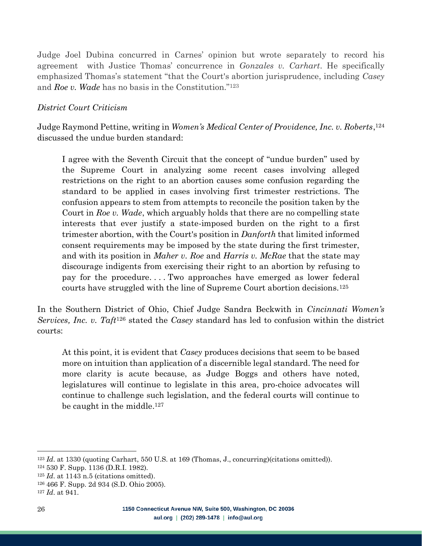Judge Joel Dubina concurred in Carnes' opinion but wrote separately to record his agreement with Justice Thomas' concurrence in *Gonzales v. Carhart*. He specifically emphasized Thomas's statement "that the Court's abortion jurisprudence, including *Casey* and *Roe v. Wade* has no basis in the Constitution." 123

#### <span id="page-25-0"></span>*District Court Criticism*

Judge Raymond Pettine, writing in *Women's Medical Center of Providence, Inc. v. Roberts*, 124 discussed the undue burden standard:

I agree with the Seventh Circuit that the concept of "undue burden" used by the Supreme Court in analyzing some recent cases involving alleged restrictions on the right to an abortion causes some confusion regarding the standard to be applied in cases involving first trimester restrictions. The confusion appears to stem from attempts to reconcile the position taken by the Court in *Roe v. Wade*, which arguably holds that there are no compelling state interests that ever justify a state-imposed burden on the right to a first trimester abortion, with the Court's position in *Danforth* that limited informed consent requirements may be imposed by the state during the first trimester, and with its position in *Maher v. Roe* and *Harris v. McRae* that the state may discourage indigents from exercising their right to an abortion by refusing to pay for the procedure. . . . Two approaches have emerged as lower federal courts have struggled with the line of Supreme Court abortion decisions.<sup>125</sup>

In the Southern District of Ohio, Chief Judge Sandra Beckwith in *Cincinnati Women's Services, Inc. v. Taft*<sup>126</sup> stated the *Casey* standard has led to confusion within the district courts:

At this point, it is evident that *Casey* produces decisions that seem to be based more on intuition than application of a discernible legal standard. The need for more clarity is acute because, as Judge Boggs and others have noted, legislatures will continue to legislate in this area, pro-choice advocates will continue to challenge such legislation, and the federal courts will continue to be caught in the middle. 127

<sup>123</sup> *Id*. at 1330 (quoting Carhart, 550 U.S. at 169 (Thomas, J., concurring)(citations omitted)).

<sup>124</sup> 530 F. Supp. 1136 (D.R.I. 1982).

<sup>125</sup> *Id*. at 1143 n.5 (citations omitted).

<sup>126</sup> 466 F. Supp. 2d 934 (S.D. Ohio 2005).

<sup>127</sup> *Id*. at 941.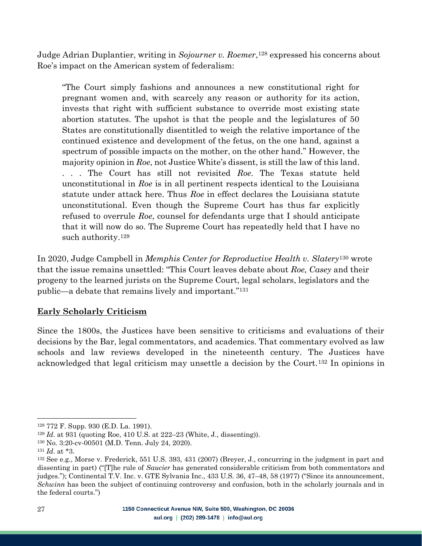Judge Adrian Duplantier, writing in *Sojourner v. Roemer*, <sup>128</sup> expressed his concerns about Roe's impact on the American system of federalism:

"The Court simply fashions and announces a new constitutional right for pregnant women and, with scarcely any reason or authority for its action, invests that right with sufficient substance to override most existing state abortion statutes. The upshot is that the people and the legislatures of 50 States are constitutionally disentitled to weigh the relative importance of the continued existence and development of the fetus, on the one hand, against a spectrum of possible impacts on the mother, on the other hand." However, the majority opinion in *Roe*, not Justice White's dissent, is still the law of this land. . . . The Court has still not revisited *Roe*. The Texas statute held unconstitutional in *Roe* is in all pertinent respects identical to the Louisiana statute under attack here. Thus *Roe* in effect declares the Louisiana statute unconstitutional. Even though the Supreme Court has thus far explicitly refused to overrule *Roe*, counsel for defendants urge that I should anticipate that it will now do so. The Supreme Court has repeatedly held that I have no such authority. 129

In 2020, Judge Campbell in *Memphis Center for Reproductive Health v. Slatery*<sup>130</sup> wrote that the issue remains unsettled: "This Court leaves debate about *Roe, Casey* and their progeny to the learned jurists on the Supreme Court, legal scholars, legislators and the public—a debate that remains lively and important."<sup>131</sup>

#### <span id="page-26-0"></span>**Early Scholarly Criticism**

Since the 1800s, the Justices have been sensitive to criticisms and evaluations of their decisions by the Bar, legal commentators, and academics. That commentary evolved as law schools and law reviews developed in the nineteenth century. The Justices have acknowledged that legal criticism may unsettle a decision by the Court.<sup>132</sup> In opinions in

<sup>128</sup> 772 F. Supp. 930 (E.D. La. 1991).

<sup>129</sup> *Id*. at 931 (quoting Roe, 410 U.S. at 222–23 (White, J., dissenting)).

<sup>130</sup> No. 3:20-cv-00501 (M.D. Tenn. July 24, 2020).

<sup>131</sup> *Id*. at \*3.

<sup>132</sup> See e.g., Morse v. Frederick, 551 U.S. 393, 431 (2007) (Breyer, J., concurring in the judgment in part and dissenting in part) ("[T]he rule of *Saucier* has generated considerable criticism from both commentators and judges."); Continental T.V. Inc. v. GTE Sylvania Inc., 433 U.S. 36, 47–48, 58 (1977) ("Since its announcement, *Schwinn* has been the subject of continuing controversy and confusion, both in the scholarly journals and in the federal courts.")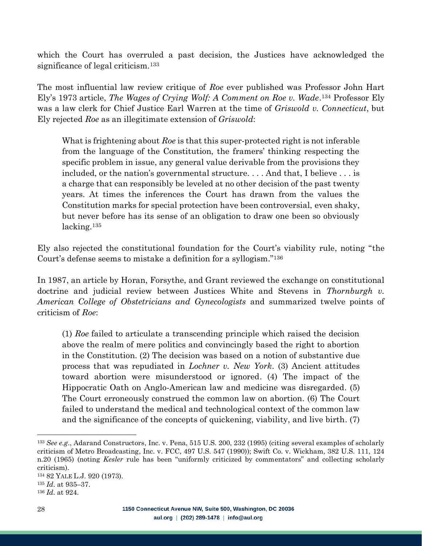which the Court has overruled a past decision, the Justices have acknowledged the significance of legal criticism.<sup>133</sup>

The most influential law review critique of *Roe* ever published was Professor John Hart Ely's 1973 article, *The Wages of Crying Wolf: A Comment on Roe v. Wade*. <sup>134</sup> Professor Ely was a law clerk for Chief Justice Earl Warren at the time of *Griswold v. Connecticut*, but Ely rejected *Roe* as an illegitimate extension of *Griswold*:

What is frightening about *Roe* is that this super-protected right is not inferable from the language of the Constitution, the framers' thinking respecting the specific problem in issue, any general value derivable from the provisions they included, or the nation's governmental structure. . . . And that, I believe . . . is a charge that can responsibly be leveled at no other decision of the past twenty years. At times the inferences the Court has drawn from the values the Constitution marks for special protection have been controversial, even shaky, but never before has its sense of an obligation to draw one been so obviously lacking.<sup>135</sup>

Ely also rejected the constitutional foundation for the Court's viability rule, noting "the Court's defense seems to mistake a definition for a syllogism."<sup>136</sup>

In 1987, an article by Horan, Forsythe, and Grant reviewed the exchange on constitutional doctrine and judicial review between Justices White and Stevens in *Thornburgh v. American College of Obstetricians and Gynecologists* and summarized twelve points of criticism of *Roe*:

(1) *Roe* failed to articulate a transcending principle which raised the decision above the realm of mere politics and convincingly based the right to abortion in the Constitution. (2) The decision was based on a notion of substantive due process that was repudiated in *Lochner v. New York*. (3) Ancient attitudes toward abortion were misunderstood or ignored. (4) The impact of the Hippocratic Oath on Anglo-American law and medicine was disregarded. (5) The Court erroneously construed the common law on abortion. (6) The Court failed to understand the medical and technological context of the common law and the significance of the concepts of quickening, viability, and live birth. (7)

<sup>133</sup> *See e.g*., Adarand Constructors, Inc. v. Pena, 515 U.S. 200, 232 (1995) (citing several examples of scholarly criticism of Metro Broadcasting, Inc. v. FCC, 497 U.S. 547 (1990)); Swift Co. v. Wickham, 382 U.S. 111, 124 n.20 (1965) (noting *Kesler* rule has been "uniformly criticized by commentators" and collecting scholarly criticism).

<sup>134</sup> 82 YALE L.J. 920 (1973).

<sup>135</sup> *Id*. at 935–37.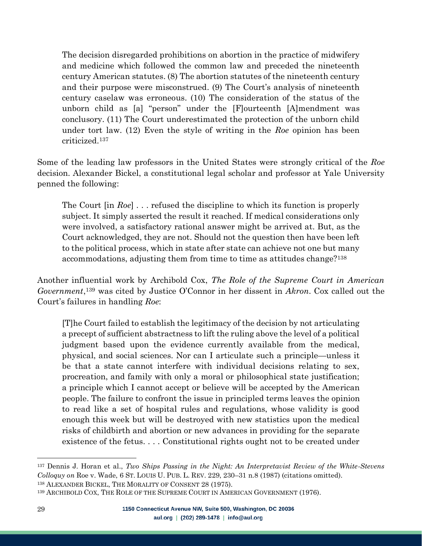The decision disregarded prohibitions on abortion in the practice of midwifery and medicine which followed the common law and preceded the nineteenth century American statutes. (8) The abortion statutes of the nineteenth century and their purpose were misconstrued. (9) The Court's analysis of nineteenth century caselaw was erroneous. (10) The consideration of the status of the unborn child as [a] "person" under the [F]ourteenth [A]mendment was conclusory. (11) The Court underestimated the protection of the unborn child under tort law. (12) Even the style of writing in the *Roe* opinion has been criticized. 137

Some of the leading law professors in the United States were strongly critical of the *Roe* decision. Alexander Bickel, a constitutional legal scholar and professor at Yale University penned the following:

The Court [in *Roe*] . . . refused the discipline to which its function is properly subject. It simply asserted the result it reached. If medical considerations only were involved, a satisfactory rational answer might be arrived at. But, as the Court acknowledged, they are not. Should not the question then have been left to the political process, which in state after state can achieve not one but many accommodations, adjusting them from time to time as attitudes change?<sup>138</sup>

Another influential work by Archibold Cox, *The Role of the Supreme Court in American Government*, <sup>139</sup> was cited by Justice O'Connor in her dissent in *Akron*. Cox called out the Court's failures in handling *Roe*:

[T]he Court failed to establish the legitimacy of the decision by not articulating a precept of sufficient abstractness to lift the ruling above the level of a political judgment based upon the evidence currently available from the medical, physical, and social sciences. Nor can I articulate such a principle—unless it be that a state cannot interfere with individual decisions relating to sex, procreation, and family with only a moral or philosophical state justification; a principle which I cannot accept or believe will be accepted by the American people. The failure to confront the issue in principled terms leaves the opinion to read like a set of hospital rules and regulations, whose validity is good enough this week but will be destroyed with new statistics upon the medical risks of childbirth and abortion or new advances in providing for the separate existence of the fetus. . . . Constitutional rights ought not to be created under

<sup>137</sup> Dennis J. Horan et al., *Two Ships Passing in the Night: An Interpretavist Review of the White-Stevens Colloquy on* Roe v. Wade, 6 ST. LOUIS U. PUB. L. REV. 229, 230–31 n.8 (1987) (citations omitted). <sup>138</sup> ALEXANDER BICKEL, THE MORALITY OF CONSENT 28 (1975).

<sup>139</sup> ARCHIBOLD COX, THE ROLE OF THE SUPREME COURT IN AMERICAN GOVERNMENT (1976).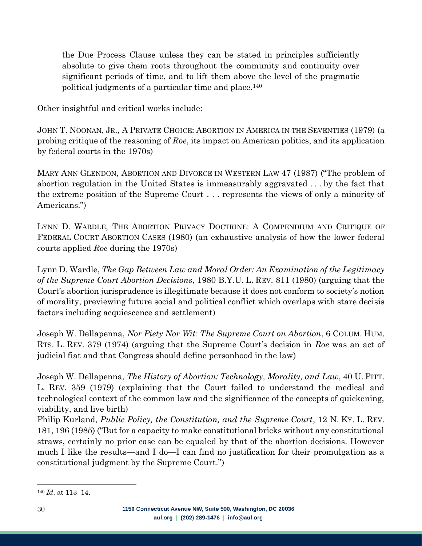the Due Process Clause unless they can be stated in principles sufficiently absolute to give them roots throughout the community and continuity over significant periods of time, and to lift them above the level of the pragmatic political judgments of a particular time and place.<sup>140</sup>

Other insightful and critical works include:

JOHN T. NOONAN, JR., A PRIVATE CHOICE: ABORTION IN AMERICA IN THE SEVENTIES (1979) (a probing critique of the reasoning of *Roe*, its impact on American politics, and its application by federal courts in the 1970s)

MARY ANN GLENDON, ABORTION AND DIVORCE IN WESTERN LAW 47 (1987) ("The problem of abortion regulation in the United States is immeasurably aggravated . . . by the fact that the extreme position of the Supreme Court . . . represents the views of only a minority of Americans.")

LYNN D. WARDLE, THE ABORTION PRIVACY DOCTRINE: A COMPENDIUM AND CRITIQUE OF FEDERAL COURT ABORTION CASES (1980) (an exhaustive analysis of how the lower federal courts applied *Roe* during the 1970s)

Lynn D. Wardle, *The Gap Between Law and Moral Order: An Examination of the Legitimacy of the Supreme Court Abortion Decisions*, 1980 B.Y.U. L. REV. 811 (1980) (arguing that the Court's abortion jurisprudence is illegitimate because it does not conform to society's notion of morality, previewing future social and political conflict which overlaps with stare decisis factors including acquiescence and settlement)

Joseph W. Dellapenna, *Nor Piety Nor Wit: The Supreme Court on Abortion*, 6 COLUM. HUM. RTS. L. REV. 379 (1974) (arguing that the Supreme Court's decision in *Roe* was an act of judicial fiat and that Congress should define personhood in the law)

Joseph W. Dellapenna, *The History of Abortion: Technology, Morality, and Law*, 40 U. PITT. L. REV. 359 (1979) (explaining that the Court failed to understand the medical and technological context of the common law and the significance of the concepts of quickening, viability, and live birth)

Philip Kurland, *Public Policy, the Constitution, and the Supreme Court*, 12 N. KY. L. REV. 181, 196 (1985) ("But for a capacity to make constitutional bricks without any constitutional straws, certainly no prior case can be equaled by that of the abortion decisions. However much I like the results—and I do—I can find no justification for their promulgation as a constitutional judgment by the Supreme Court.")

<sup>140</sup> *Id*. at 113–14.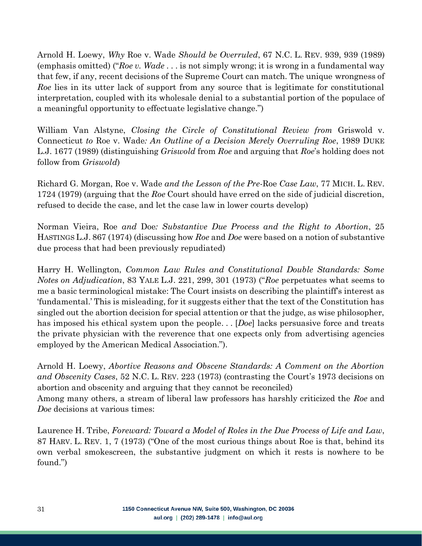Arnold H. Loewy, *Why* Roe v. Wade *Should be Overruled*, 67 N.C. L. REV. 939, 939 (1989) (emphasis omitted) ("*Roe v. Wade* . . . is not simply wrong; it is wrong in a fundamental way that few, if any, recent decisions of the Supreme Court can match. The unique wrongness of *Roe* lies in its utter lack of support from any source that is legitimate for constitutional interpretation, coupled with its wholesale denial to a substantial portion of the populace of a meaningful opportunity to effectuate legislative change.")

William Van Alstyne, *Closing the Circle of Constitutional Review from* Griswold v. Connecticut *to* Roe v. Wade*: An Outline of a Decision Merely Overruling Roe*, 1989 DUKE L.J. 1677 (1989) (distinguishing *Griswold* from *Roe* and arguing that *Roe*'s holding does not follow from *Griswold*)

Richard G. Morgan, Roe v. Wade *and the Lesson of the Pre-*Roe *Case Law*, 77 MICH. L. REV. 1724 (1979) (arguing that the *Roe* Court should have erred on the side of judicial discretion, refused to decide the case, and let the case law in lower courts develop)

Norman Vieira, Roe *and* Doe*: Substantive Due Process and the Right to Abortion*, 25 HASTINGS L.J. 867 (1974) (discussing how *Roe* and *Doe* were based on a notion of substantive due process that had been previously repudiated)

Harry H. Wellington, *Common Law Rules and Constitutional Double Standards: Some Notes on Adjudication*, 83 YALE L.J. 221, 299, 301 (1973) ("*Roe* perpetuates what seems to me a basic terminological mistake: The Court insists on describing the plaintiff's interest as 'fundamental.' This is misleading, for it suggests either that the text of the Constitution has singled out the abortion decision for special attention or that the judge, as wise philosopher, has imposed his ethical system upon the people. . . [*Doe*] lacks persuasive force and treats the private physician with the reverence that one expects only from advertising agencies employed by the American Medical Association.").

Arnold H. Loewy, *Abortive Reasons and Obscene Standards: A Comment on the Abortion and Obscenity Cases*, 52 N.C. L. REV. 223 (1973) (contrasting the Court's 1973 decisions on abortion and obscenity and arguing that they cannot be reconciled) Among many others, a stream of liberal law professors has harshly criticized the *Roe* and *Doe* decisions at various times:

Laurence H. Tribe, *Foreward: Toward a Model of Roles in the Due Process of Life and Law*, 87 HARV. L. REV. 1, 7 (1973) ("One of the most curious things about Roe is that, behind its own verbal smokescreen, the substantive judgment on which it rests is nowhere to be found.")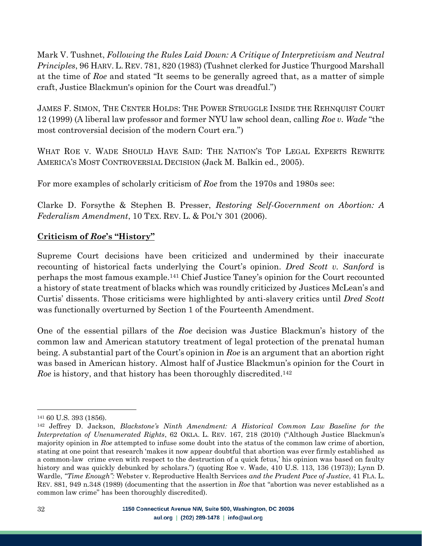Mark V. Tushnet, *Following the Rules Laid Down: A Critique of Interpretivism and Neutral Principles*, 96 HARV. L. REV. 781, 820 (1983) (Tushnet clerked for Justice Thurgood Marshall at the time of *Roe* and stated "It seems to be generally agreed that, as a matter of simple craft, Justice Blackmun's opinion for the Court was dreadful.")

JAMES F. SIMON, THE CENTER HOLDS: THE POWER STRUGGLE INSIDE THE REHNQUIST COURT 12 (1999) (A liberal law professor and former NYU law school dean, calling *Roe v. Wade* "the most controversial decision of the modern Court era.")

WHAT ROE V. WADE SHOULD HAVE SAID: THE NATION'S TOP LEGAL EXPERTS REWRITE AMERICA'S MOST CONTROVERSIAL DECISION (Jack M. Balkin ed., 2005).

For more examples of scholarly criticism of *Roe* from the 1970s and 1980s see:

Clarke D. Forsythe & Stephen B. Presser, *Restoring Self-Government on Abortion: A Federalism Amendment*, 10 TEX. REV. L. & POL'Y 301 (2006).

#### <span id="page-31-0"></span>**Criticism of** *Roe***'s "History"**

Supreme Court decisions have been criticized and undermined by their inaccurate recounting of historical facts underlying the Court's opinion. *Dred Scott v. Sanford* is perhaps the most famous example.<sup>141</sup> Chief Justice Taney's opinion for the Court recounted a history of state treatment of blacks which was roundly criticized by Justices McLean's and Curtis' dissents. Those criticisms were highlighted by anti-slavery critics until *Dred Scott* was functionally overturned by Section 1 of the Fourteenth Amendment.

One of the essential pillars of the *Roe* decision was Justice Blackmun's history of the common law and American statutory treatment of legal protection of the prenatal human being. A substantial part of the Court's opinion in *Roe* is an argument that an abortion right was based in American history. Almost half of Justice Blackmun's opinion for the Court in Roe is history, and that history has been thoroughly discredited.<sup>142</sup>

<sup>141</sup> 60 U.S. 393 (1856).

<sup>142</sup> Jeffrey D. Jackson, *Blackstone's Ninth Amendment: A Historical Common Law Baseline for the Interpretation of Unenumerated Rights*, 62 OKLA. L. REV. 167, 218 (2010) ("Although Justice Blackmun's majority opinion in *Roe* attempted to infuse some doubt into the status of the common law crime of abortion, stating at one point that research 'makes it now appear doubtful that abortion was ever firmly established as a common-law crime even with respect to the destruction of a quick fetus,' his opinion was based on faulty history and was quickly debunked by scholars.") (quoting Roe v. Wade, 410 U.S. 113, 136 (1973)); Lynn D. Wardle, *"Time Enough":* Webster v. Reproductive Health Services *and the Prudent Pace of Justice*, 41 FLA. L. REV. 881, 949 n.348 (1989) (documenting that the assertion in *Roe* that "abortion was never established as a common law crime" has been thoroughly discredited).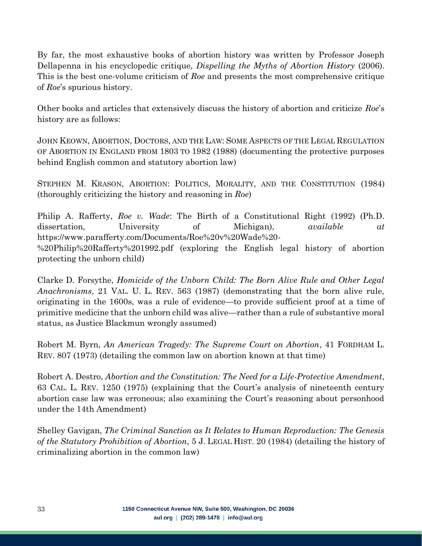By far, the most exhaustive books of abortion history was written by Professor Joseph Dellapenna in his encyclopedic critique, *Dispelling the Myths of Abortion History* (2006). This is the best one-volume criticism of *Roe* and presents the most comprehensive critique of *Roe*'s spurious history.

Other books and articles that extensively discuss the history of abortion and criticize *Roe*'s history are as follows:

JOHN KEOWN, ABORTION, DOCTORS, AND THE LAW: SOME ASPECTS OF THE LEGAL REGULATION OF ABORTION IN ENGLAND FROM 1803 TO 1982 (1988) (documenting the protective purposes behind English common and statutory abortion law)

STEPHEN M. KRASON, ABORTION: POLITICS, MORALITY, AND THE CONSTITUTION (1984) (thoroughly criticizing the history and reasoning in *Roe*)

Philip A. Rafferty, *Roe v. Wade*: The Birth of a Constitutional Right (1992) (Ph.D. dissertation, University of Michigan), *available at*  https://www.parafferty.com/Documents/Roe%20v%20Wade%20- %20Philip%20Rafferty%201992.pdf (exploring the English legal history of abortion protecting the unborn child)

Clarke D. Forsythe, *Homicide of the Unborn Child: The Born Alive Rule and Other Legal Anachronisms*, 21 VAL. U. L. REV. 563 (1987) (demonstrating that the born alive rule, originating in the 1600s, was a rule of evidence—to provide sufficient proof at a time of primitive medicine that the unborn child was alive—rather than a rule of substantive moral status, as Justice Blackmun wrongly assumed)

Robert M. Byrn, *An American Tragedy: The Supreme Court on Abortion*, 41 FORDHAM L. REV. 807 (1973) (detailing the common law on abortion known at that time)

Robert A. Destro, *Abortion and the Constitution: The Need for a Life-Protective Amendment*, 63 CAL. L. REV. 1250 (1975) (explaining that the Court's analysis of nineteenth century abortion case law was erroneous; also examining the Court's reasoning about personhood under the 14th Amendment)

Shelley Gavigan, *The Criminal Sanction as It Relates to Human Reproduction: The Genesis of the Statutory Prohibition of Abortion*, 5 J. LEGAL HIST. 20 (1984) (detailing the history of criminalizing abortion in the common law)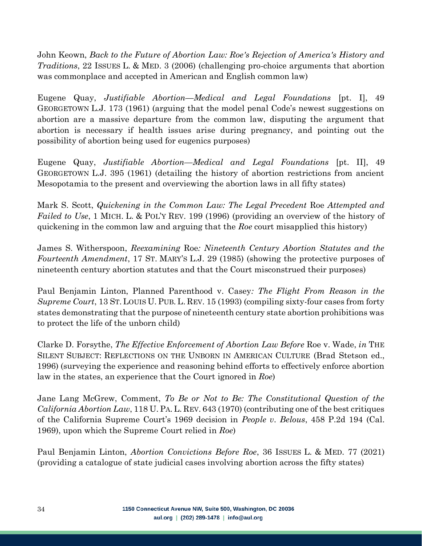John Keown, *Back to the Future of Abortion Law: Roe's Rejection of America's History and Traditions*, 22 ISSUES L. & MED. 3 (2006) (challenging pro-choice arguments that abortion was commonplace and accepted in American and English common law)

Eugene Quay, *Justifiable Abortion—Medical and Legal Foundations* [pt. I], 49 GEORGETOWN L.J. 173 (1961) (arguing that the model penal Code's newest suggestions on abortion are a massive departure from the common law, disputing the argument that abortion is necessary if health issues arise during pregnancy, and pointing out the possibility of abortion being used for eugenics purposes)

Eugene Quay, *Justifiable Abortion—Medical and Legal Foundations* [pt. II], 49 GEORGETOWN L.J. 395 (1961) (detailing the history of abortion restrictions from ancient Mesopotamia to the present and overviewing the abortion laws in all fifty states)

Mark S. Scott, *Quickening in the Common Law: The Legal Precedent* Roe *Attempted and Failed to Use*, 1 MICH. L. & POL'Y REV. 199 (1996) (providing an overview of the history of quickening in the common law and arguing that the *Roe* court misapplied this history)

James S. Witherspoon, *Reexamining* Roe*: Nineteenth Century Abortion Statutes and the Fourteenth Amendment*, 17 ST. MARY'S L.J. 29 (1985) (showing the protective purposes of nineteenth century abortion statutes and that the Court misconstrued their purposes)

Paul Benjamin Linton, Planned Parenthood v. Casey*: The Flight From Reason in the Supreme Court*, 13 ST. LOUIS U. PUB. L. REV. 15 (1993) (compiling sixty-four cases from forty states demonstrating that the purpose of nineteenth century state abortion prohibitions was to protect the life of the unborn child)

Clarke D. Forsythe, *The Effective Enforcement of Abortion Law Before* Roe v. Wade, *in* THE SILENT SUBJECT: REFLECTIONS ON THE UNBORN IN AMERICAN CULTURE (Brad Stetson ed., 1996) (surveying the experience and reasoning behind efforts to effectively enforce abortion law in the states, an experience that the Court ignored in *Roe*)

Jane Lang McGrew, Comment, *To Be or Not to Be: The Constitutional Question of the California Abortion Law*, 118 U. PA. L. REV. 643 (1970) (contributing one of the best critiques of the California Supreme Court's 1969 decision in *People v. Belous*, 458 P.2d 194 (Cal. 1969), upon which the Supreme Court relied in *Roe*)

Paul Benjamin Linton, *Abortion Convictions Before Roe*, 36 ISSUES L. & MED. 77 (2021) (providing a catalogue of state judicial cases involving abortion across the fifty states)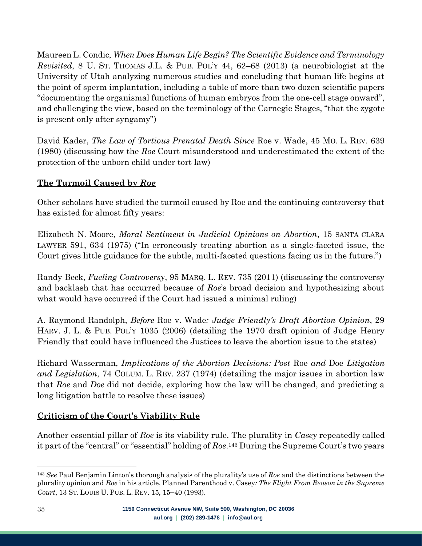Maureen L. Condic, *When Does Human Life Begin? The Scientific Evidence and Terminology Revisited*, 8 U. ST. THOMAS J.L. & PUB. POL'Y 44, 62–68 (2013) (a neurobiologist at the University of Utah analyzing numerous studies and concluding that human life begins at the point of sperm implantation, including a table of more than two dozen scientific papers "documenting the organismal functions of human embryos from the one-cell stage onward", and challenging the view, based on the terminology of the Carnegie Stages, "that the zygote is present only after syngamy")

David Kader, *The Law of Tortious Prenatal Death Since* Roe v. Wade, 45 MO. L. REV. 639 (1980) (discussing how the *Roe* Court misunderstood and underestimated the extent of the protection of the unborn child under tort law)

## <span id="page-34-0"></span>**The Turmoil Caused by** *Roe*

Other scholars have studied the turmoil caused by Roe and the continuing controversy that has existed for almost fifty years:

Elizabeth N. Moore, *Moral Sentiment in Judicial Opinions on Abortion*, 15 SANTA CLARA LAWYER 591, 634 (1975) ("In erroneously treating abortion as a single-faceted issue, the Court gives little guidance for the subtle, multi-faceted questions facing us in the future.")

Randy Beck, *Fueling Controversy*, 95 MARQ. L. REV. 735 (2011) (discussing the controversy and backlash that has occurred because of *Roe*'s broad decision and hypothesizing about what would have occurred if the Court had issued a minimal ruling)

A. Raymond Randolph, *Before* Roe v. Wade*: Judge Friendly's Draft Abortion Opinion*, 29 HARV. J. L. & PUB. POL'Y 1035 (2006) (detailing the 1970 draft opinion of Judge Henry Friendly that could have influenced the Justices to leave the abortion issue to the states)

Richard Wasserman, *Implications of the Abortion Decisions: Post* Roe *and* Doe *Litigation and Legislation*, 74 COLUM. L. REV. 237 (1974) (detailing the major issues in abortion law that *Roe* and *Doe* did not decide, exploring how the law will be changed, and predicting a long litigation battle to resolve these issues)

## <span id="page-34-1"></span>**Criticism of the Court's Viability Rule**

Another essential pillar of *Roe* is its viability rule. The plurality in *Casey* repeatedly called it part of the "central" or "essential" holding of *Roe*. <sup>143</sup> During the Supreme Court's two years

<sup>143</sup> *See* Paul Benjamin Linton's thorough analysis of the plurality's use of *Roe* and the distinctions between the plurality opinion and *Roe* in his article, Planned Parenthood v. Casey*: The Flight From Reason in the Supreme Court*, 13 ST. LOUIS U. PUB. L. REV. 15, 15–40 (1993).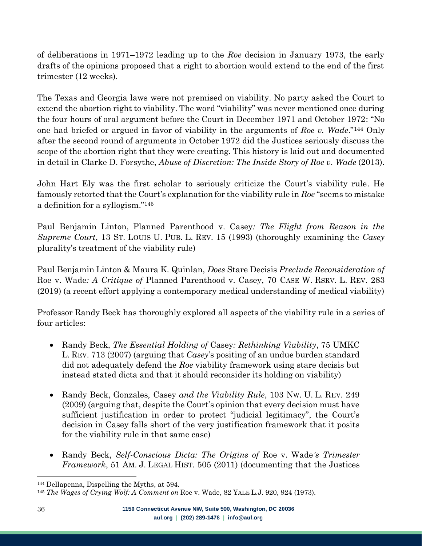of deliberations in 1971–1972 leading up to the *Roe* decision in January 1973, the early drafts of the opinions proposed that a right to abortion would extend to the end of the first trimester (12 weeks).

The Texas and Georgia laws were not premised on viability. No party asked the Court to extend the abortion right to viability. The word "viability" was never mentioned once during the four hours of oral argument before the Court in December 1971 and October 1972: "No one had briefed or argued in favor of viability in the arguments of *Roe v. Wade*."<sup>144</sup> Only after the second round of arguments in October 1972 did the Justices seriously discuss the scope of the abortion right that they were creating. This history is laid out and documented in detail in Clarke D. Forsythe, *Abuse of Discretion: The Inside Story of Roe v. Wade* (2013).

John Hart Ely was the first scholar to seriously criticize the Court's viability rule. He famously retorted that the Court's explanation for the viability rule in *Roe* "seems to mistake a definition for a syllogism."<sup>145</sup>

Paul Benjamin Linton, Planned Parenthood v. Casey*: The Flight from Reason in the Supreme Court*, 13 ST. LOUIS U. PUB. L. REV. 15 (1993) (thoroughly examining the *Casey* plurality's treatment of the viability rule)

Paul Benjamin Linton & Maura K. Quinlan, *Does* Stare Decisis *Preclude Reconsideration of*  Roe v. Wade*: A Critique of* Planned Parenthood v. Casey, 70 CASE W. RSRV. L. REV. 283 (2019) (a recent effort applying a contemporary medical understanding of medical viability)

Professor Randy Beck has thoroughly explored all aspects of the viability rule in a series of four articles:

- Randy Beck, *The Essential Holding of* Casey*: Rethinking Viability*, 75 UMKC L. REV. 713 (2007) (arguing that *Casey*'s positing of an undue burden standard did not adequately defend the *Roe* viability framework using stare decisis but instead stated dicta and that it should reconsider its holding on viability)
- Randy Beck, Gonzales*,* Casey *and the Viability Rule*, 103 NW. U. L. REV. 249 (2009) (arguing that, despite the Court's opinion that every decision must have sufficient justification in order to protect "judicial legitimacy", the Court's decision in Casey falls short of the very justification framework that it posits for the viability rule in that same case)
- Randy Beck, *Self-Conscious Dicta: The Origins of* Roe v. Wade*'s Trimester Framework*, 51 AM. J. LEGAL HIST. 505 (2011) (documenting that the Justices

<sup>144</sup> Dellapenna, Dispelling the Myths, at 594.

<sup>145</sup> *The Wages of Crying Wolf: A Comment on* Roe v. Wade, 82 YALE L.J. 920, 924 (1973).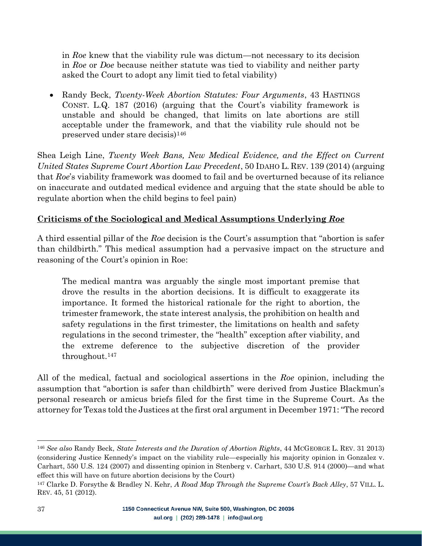in *Roe* knew that the viability rule was dictum—not necessary to its decision in *Roe* or *Doe* because neither statute was tied to viability and neither party asked the Court to adopt any limit tied to fetal viability)

• Randy Beck, *Twenty-Week Abortion Statutes: Four Arguments*, 43 HASTINGS CONST. L.Q. 187 (2016) (arguing that the Court's viability framework is unstable and should be changed, that limits on late abortions are still acceptable under the framework, and that the viability rule should not be preserved under stare decisis)<sup>146</sup>

Shea Leigh Line, *Twenty Week Bans, New Medical Evidence, and the Effect on Current United States Supreme Court Abortion Law Precedent*, 50 IDAHO L. REV. 139 (2014) (arguing that *Roe*'s viability framework was doomed to fail and be overturned because of its reliance on inaccurate and outdated medical evidence and arguing that the state should be able to regulate abortion when the child begins to feel pain)

## <span id="page-36-0"></span>**Criticisms of the Sociological and Medical Assumptions Underlying** *Roe*

A third essential pillar of the *Roe* decision is the Court's assumption that "abortion is safer than childbirth." This medical assumption had a pervasive impact on the structure and reasoning of the Court's opinion in Roe:

The medical mantra was arguably the single most important premise that drove the results in the abortion decisions. It is difficult to exaggerate its importance. It formed the historical rationale for the right to abortion, the trimester framework, the state interest analysis, the prohibition on health and safety regulations in the first trimester, the limitations on health and safety regulations in the second trimester, the "health" exception after viability, and the extreme deference to the subjective discretion of the provider throughout.<sup>147</sup>

All of the medical, factual and sociological assertions in the *Roe* opinion, including the assumption that "abortion is safer than childbirth" were derived from Justice Blackmun's personal research or amicus briefs filed for the first time in the Supreme Court. As the attorney for Texas told the Justices at the first oral argument in December 1971: "The record

<sup>146</sup> *See also* Randy Beck, *State Interests and the Duration of Abortion Rights*, 44 MCGEORGE L. REV. 31 2013) (considering Justice Kennedy's impact on the viability rule—especially his majority opinion in Gonzalez v. Carhart, 550 U.S. 124 (2007) and dissenting opinion in Stenberg v. Carhart, 530 U.S. 914 (2000)—and what effect this will have on future abortion decisions by the Court)

<sup>147</sup> Clarke D. Forsythe & Bradley N. Kehr, *A Road Map Through the Supreme Court's Back Alley*, 57 VILL. L. REV. 45, 51 (2012).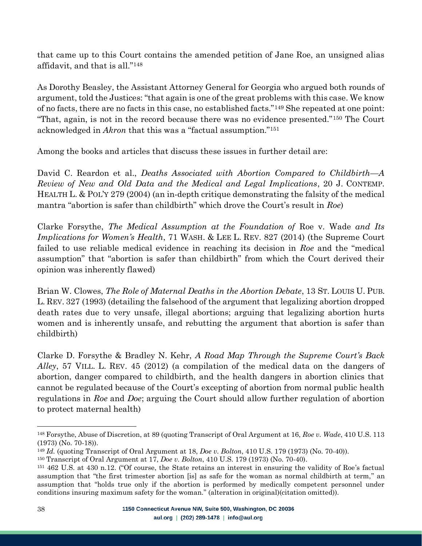that came up to this Court contains the amended petition of Jane Roe, an unsigned alias affidavit, and that is all."<sup>148</sup>

As Dorothy Beasley, the Assistant Attorney General for Georgia who argued both rounds of argument, told the Justices: "that again is one of the great problems with this case. We know of no facts, there are no facts in this case, no established facts."<sup>149</sup> She repeated at one point: "That, again, is not in the record because there was no evidence presented."<sup>150</sup> The Court acknowledged in *Akron* that this was a "factual assumption." 151

Among the books and articles that discuss these issues in further detail are:

David C. Reardon et al., *Deaths Associated with Abortion Compared to Childbirth—A Review of New and Old Data and the Medical and Legal Implications*, 20 J. CONTEMP. HEALTH L. & POL'Y 279 (2004) (an in-depth critique demonstrating the falsity of the medical mantra "abortion is safer than childbirth" which drove the Court's result in *Roe*)

Clarke Forsythe, *The Medical Assumption at the Foundation of* Roe v. Wade *and Its Implications for Women's Health*, 71 WASH. & LEE L. REV. 827 (2014) (the Supreme Court failed to use reliable medical evidence in reaching its decision in *Roe* and the "medical assumption" that "abortion is safer than childbirth" from which the Court derived their opinion was inherently flawed)

Brian W. Clowes, *The Role of Maternal Deaths in the Abortion Debate*, 13 ST. LOUIS U. PUB. L. REV. 327 (1993) (detailing the falsehood of the argument that legalizing abortion dropped death rates due to very unsafe, illegal abortions; arguing that legalizing abortion hurts women and is inherently unsafe, and rebutting the argument that abortion is safer than childbirth)

Clarke D. Forsythe & Bradley N. Kehr, *A Road Map Through the Supreme Court's Back Alley*, 57 VILL. L. REV. 45 (2012) (a compilation of the medical data on the dangers of abortion, danger compared to childbirth, and the health dangers in abortion clinics that cannot be regulated because of the Court's excepting of abortion from normal public health regulations in *Roe* and *Doe*; arguing the Court should allow further regulation of abortion to protect maternal health)

<sup>148</sup> Forsythe, Abuse of Discretion, at 89 (quoting Transcript of Oral Argument at 16, *Roe v. Wade*, 410 U.S. 113 (1973) (No. 70-18)).

<sup>149</sup> *Id.* (quoting Transcript of Oral Argument at 18, *Doe v. Bolton*, 410 U.S. 179 (1973) (No. 70-40)).

<sup>150</sup> Transcript of Oral Argument at 17, *Doe v. Bolton*, 410 U.S. 179 (1973) (No. 70-40).

<sup>151</sup> 462 U.S. at 430 n.12. ("Of course, the State retains an interest in ensuring the validity of Roe's factual assumption that "the first trimester abortion [is] as safe for the woman as normal childbirth at term," an assumption that "holds true only if the abortion is performed by medically competent personnel under conditions insuring maximum safety for the woman." (alteration in original)(citation omitted)).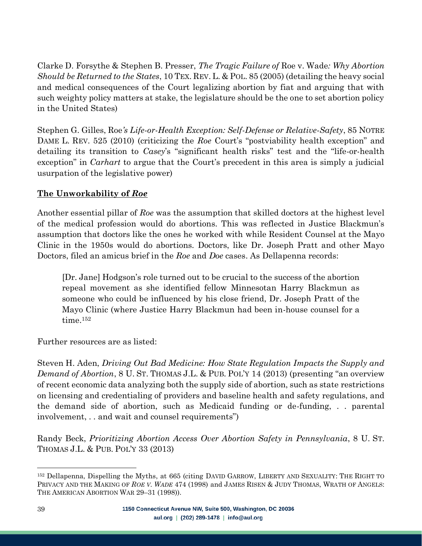Clarke D. Forsythe & Stephen B. Presser, *The Tragic Failure of* Roe v. Wade*: Why Abortion Should be Returned to the States*, 10 TEX. REV. L. & POL. 85 (2005) (detailing the heavy social and medical consequences of the Court legalizing abortion by fiat and arguing that with such weighty policy matters at stake, the legislature should be the one to set abortion policy in the United States)

Stephen G. Gilles, Roe*'s Life-or-Health Exception: Self-Defense or Relative-Safety*, 85 NOTRE DAME L. REV. 525 (2010) (criticizing the *Roe* Court's "postviability health exception" and detailing its transition to *Casey*'s "significant health risks" test and the "life-or-health exception" in *Carhart* to argue that the Court's precedent in this area is simply a judicial usurpation of the legislative power)

#### <span id="page-38-0"></span>**The Unworkability of** *Roe*

Another essential pillar of *Roe* was the assumption that skilled doctors at the highest level of the medical profession would do abortions. This was reflected in Justice Blackmun's assumption that doctors like the ones he worked with while Resident Counsel at the Mayo Clinic in the 1950s would do abortions. Doctors, like Dr. Joseph Pratt and other Mayo Doctors, filed an amicus brief in the *Roe* and *Doe* cases. As Dellapenna records:

[Dr. Jane] Hodgson's role turned out to be crucial to the success of the abortion repeal movement as she identified fellow Minnesotan Harry Blackmun as someone who could be influenced by his close friend, Dr. Joseph Pratt of the Mayo Clinic (where Justice Harry Blackmun had been in-house counsel for a time.<sup>152</sup>

Further resources are as listed:

Steven H. Aden, *Driving Out Bad Medicine: How State Regulation Impacts the Supply and Demand of Abortion*, 8 U. ST. THOMAS J.L. & PUB. POL'Y 14 (2013) (presenting "an overview of recent economic data analyzing both the supply side of abortion, such as state restrictions on licensing and credentialing of providers and baseline health and safety regulations, and the demand side of abortion, such as Medicaid funding or de-funding, . . parental involvement, . . and wait and counsel requirements")

Randy Beck, *Prioritizing Abortion Access Over Abortion Safety in Pennsylvania*, 8 U. ST. THOMAS J.L. & PUB. POL'Y 33 (2013)

<sup>152</sup> Dellapenna, Dispelling the Myths, at 665 (citing DAVID GARROW, LIBERTY AND SEXUALITY: THE RIGHT TO PRIVACY AND THE MAKING OF *ROE V. WADE* 474 (1998) and JAMES RISEN & JUDY THOMAS, WRATH OF ANGELS: THE AMERICAN ABORTION WAR 29–31 (1998)).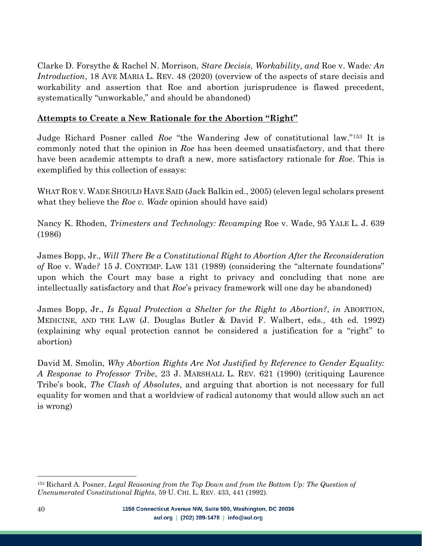Clarke D. Forsythe & Rachel N. Morrison, *Stare Decisis, Workability, and* Roe v. Wade*: An Introduction*, 18 AVE MARIA L. REV. 48 (2020) (overview of the aspects of stare decisis and workability and assertion that Roe and abortion jurisprudence is flawed precedent, systematically "unworkable," and should be abandoned)

#### <span id="page-39-0"></span>**Attempts to Create a New Rationale for the Abortion "Right"**

Judge Richard Posner called *Roe* "the Wandering Jew of constitutional law."<sup>153</sup> It is commonly noted that the opinion in *Roe* has been deemed unsatisfactory, and that there have been academic attempts to draft a new, more satisfactory rationale for *Roe*. This is exemplified by this collection of essays:

WHAT ROE V. WADE SHOULD HAVE SAID (Jack Balkin ed., 2005) (eleven legal scholars present what they believe the *Roe v. Wade* opinion should have said)

Nancy K. Rhoden, *Trimesters and Technology: Revamping* Roe v. Wade, 95 YALE L. J. 639 (1986)

James Bopp, Jr., *Will There Be a Constitutional Right to Abortion After the Reconsideration of* Roe v. Wade*?* 15 J. CONTEMP. LAW 131 (1989) (considering the "alternate foundations" upon which the Court may base a right to privacy and concluding that none are intellectually satisfactory and that *Roe*'s privacy framework will one day be abandoned)

James Bopp, Jr., *Is Equal Protection a Shelter for the Right to Abortion?*, *in* ABORTION, MEDICINE, AND THE LAW (J. Douglas Butler & David F. Walbert, eds., 4th ed. 1992) (explaining why equal protection cannot be considered a justification for a "right" to abortion)

David M. Smolin, *Why Abortion Rights Are Not Justified by Reference to Gender Equality: A Response to Professor Tribe*, 23 J. MARSHALL L. REV. 621 (1990) (critiquing Laurence Tribe's book, *The Clash of Absolutes*, and arguing that abortion is not necessary for full equality for women and that a worldview of radical autonomy that would allow such an act is wrong)

<sup>153</sup> Richard A. Posner, *Legal Reasoning from the Top Down and from the Bottom Up: The Question of Unenumerated Constitutional Rights*, 59 U. CHI. L. REV. 433, 441 (1992).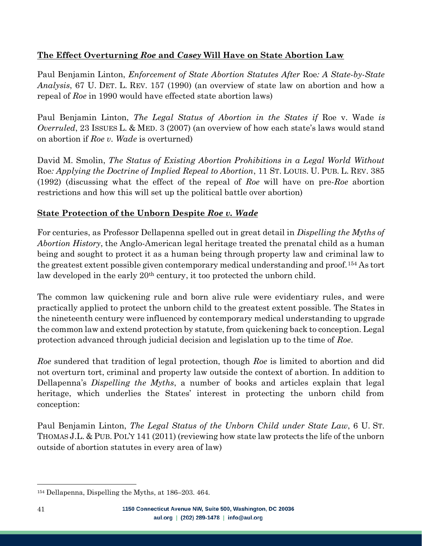# <span id="page-40-0"></span>**The Effect Overturning** *Roe* **and** *Casey* **Will Have on State Abortion Law**

Paul Benjamin Linton, *Enforcement of State Abortion Statutes After* Roe*: A State-by-State Analysis*, 67 U. DET. L. REV. 157 (1990) (an overview of state law on abortion and how a repeal of *Roe* in 1990 would have effected state abortion laws)

Paul Benjamin Linton, *The Legal Status of Abortion in the States if* Roe v. Wade *is Overruled*, 23 ISSUES L. & MED. 3 (2007) (an overview of how each state's laws would stand on abortion if *Roe v. Wade* is overturned)

David M. Smolin, *The Status of Existing Abortion Prohibitions in a Legal World Without*  Roe*: Applying the Doctrine of Implied Repeal to Abortion*, 11 ST. LOUIS. U. PUB. L. REV. 385 (1992) (discussing what the effect of the repeal of *Roe* will have on pre-*Roe* abortion restrictions and how this will set up the political battle over abortion)

# <span id="page-40-1"></span>**State Protection of the Unborn Despite** *Roe v. Wade*

For centuries, as Professor Dellapenna spelled out in great detail in *Dispelling the Myths of Abortion History*, the Anglo-American legal heritage treated the prenatal child as a human being and sought to protect it as a human being through property law and criminal law to the greatest extent possible given contemporary medical understanding and proof.<sup>154</sup> As tort law developed in the early 20<sup>th</sup> century, it too protected the unborn child.

The common law quickening rule and born alive rule were evidentiary rules, and were practically applied to protect the unborn child to the greatest extent possible. The States in the nineteenth century were influenced by contemporary medical understanding to upgrade the common law and extend protection by statute, from quickening back to conception. Legal protection advanced through judicial decision and legislation up to the time of *Roe*.

*Roe* sundered that tradition of legal protection, though *Roe* is limited to abortion and did not overturn tort, criminal and property law outside the context of abortion. In addition to Dellapenna's *Dispelling the Myths*, a number of books and articles explain that legal heritage, which underlies the States' interest in protecting the unborn child from conception:

Paul Benjamin Linton, *The Legal Status of the Unborn Child under State Law*, 6 U. ST. THOMAS J.L. & PUB. POL'Y 141 (2011) (reviewing how state law protects the life of the unborn outside of abortion statutes in every area of law)

<sup>154</sup> Dellapenna, Dispelling the Myths, at 186–203. 464.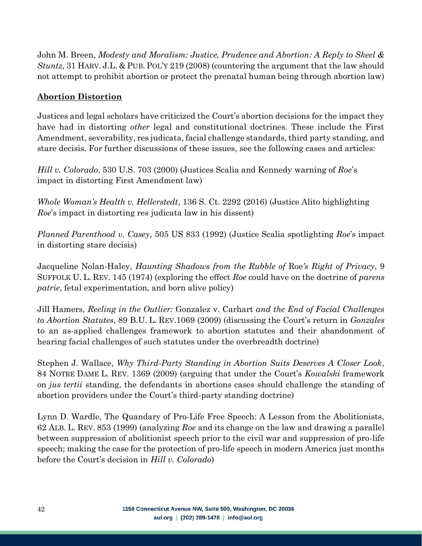John M. Breen, *Modesty and Moralism: Justice, Prudence and Abortion: A Reply to Skeel & Stuntz*, 31 HARV. J.L. & PUB. POL'Y 219 (2008) (countering the argument that the law should not attempt to prohibit abortion or protect the prenatal human being through abortion law)

#### <span id="page-41-0"></span>**Abortion Distortion**

Justices and legal scholars have criticized the Court's abortion decisions for the impact they have had in distorting *other* legal and constitutional doctrines. These include the First Amendment, severability, res judicata, facial challenge standards, third party standing, and stare decisis. For further discussions of these issues, see the following cases and articles:

*Hill v. Colorado*, 530 U.S. 703 (2000) (Justices Scalia and Kennedy warning of *Roe*'s impact in distorting First Amendment law)

*Whole Woman's Health v. Hellerstedt*, 136 S. Ct. 2292 (2016) (Justice Alito highlighting *Roe*'s impact in distorting res judicata law in his dissent)

*Planned Parenthood v. Casey*, 505 US 833 (1992) (Justice Scalia spotlighting *Roe*'s impact in distorting stare decisis)

Jacqueline Nolan-Haley, *Haunting Shadows from the Rubble of* Roe*'s Right of Privacy*, 9 SUFFOLK U. L. REV. 145 (1974) (exploring the effect *Roe* could have on the doctrine of *parens patrie*, fetal experimentation, and born alive policy)

Jill Hamers, *Reeling in the Outlier:* Gonzalez v. Carhart *and the End of Facial Challenges to Abortion Statutes*, 89 B.U. L. REV.1069 (2009) (discussing the Court's return in *Gonzales* to an as-applied challenges framework to abortion statutes and their abandonment of hearing facial challenges of such statutes under the overbreadth doctrine)

Stephen J. Wallace, *Why Third-Party Standing in Abortion Suits Deserves A Closer Look*, 84 NOTRE DAME L. REV. 1369 (2009) (arguing that under the Court's *Kowalski* framework on *jus tertii* standing, the defendants in abortions cases should challenge the standing of abortion providers under the Court's third-party standing doctrine)

Lynn D. Wardle, The Quandary of Pro-Life Free Speech: A Lesson from the Abolitionists, 62 ALB. L. REV. 853 (1999) (analyzing *Roe* and its change on the law and drawing a parallel between suppression of abolitionist speech prior to the civil war and suppression of pro-life speech; making the case for the protection of pro-life speech in modern America just months before the Court's decision in *Hill v. Colorado*)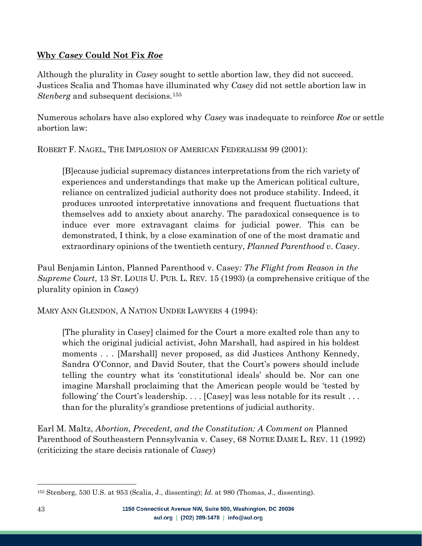#### <span id="page-42-0"></span>**Why** *Casey* **Could Not Fix** *Roe*

Although the plurality in *Casey* sought to settle abortion law, they did not succeed. Justices Scalia and Thomas have illuminated why *Casey* did not settle abortion law in *Stenberg* and subsequent decisions.<sup>155</sup>

Numerous scholars have also explored why *Casey* was inadequate to reinforce *Roe* or settle abortion law:

ROBERT F. NAGEL, THE IMPLOSION OF AMERICAN FEDERALISM 99 (2001):

[B]ecause judicial supremacy distances interpretations from the rich variety of experiences and understandings that make up the American political culture, reliance on centralized judicial authority does not produce stability. Indeed, it produces unrooted interpretative innovations and frequent fluctuations that themselves add to anxiety about anarchy. The paradoxical consequence is to induce ever more extravagant claims for judicial power. This can be demonstrated, I think, by a close examination of one of the most dramatic and extraordinary opinions of the twentieth century, *Planned Parenthood v. Casey*.

Paul Benjamin Linton, Planned Parenthood v. Casey*: The Flight from Reason in the Supreme Court*, 13 ST. LOUIS U. PUB. L. REV. 15 (1993) (a comprehensive critique of the plurality opinion in *Casey*)

MARY ANN GLENDON, A NATION UNDER LAWYERS 4 (1994):

[The plurality in Casey] claimed for the Court a more exalted role than any to which the original judicial activist, John Marshall, had aspired in his boldest moments . . . [Marshall] never proposed, as did Justices Anthony Kennedy, Sandra O'Connor, and David Souter, that the Court's powers should include telling the country what its 'constitutional ideals' should be. Nor can one imagine Marshall proclaiming that the American people would be 'tested by following' the Court's leadership. . . . [Casey] was less notable for its result . . . than for the plurality's grandiose pretentions of judicial authority.

Earl M. Maltz, *Abortion, Precedent, and the Constitution: A Comment on* Planned Parenthood of Southeastern Pennsylvania v. Casey, 68 NOTRE DAME L. REV. 11 (1992) (criticizing the stare decisis rationale of *Casey*)

<sup>155</sup> Stenberg, 530 U.S. at 953 (Scalia, J., dissenting); *Id*. at 980 (Thomas, J., dissenting).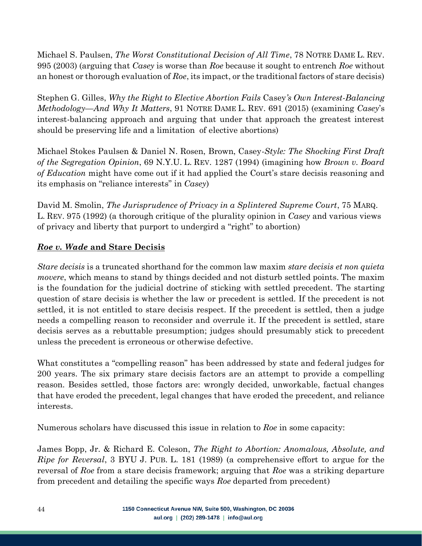Michael S. Paulsen, *The Worst Constitutional Decision of All Time*, 78 NOTRE DAME L. REV. 995 (2003) (arguing that *Casey* is worse than *Roe* because it sought to entrench *Roe* without an honest or thorough evaluation of *Roe*, its impact, or the traditional factors of stare decisis)

Stephen G. Gilles, *Why the Right to Elective Abortion Fails* Casey*'s Own Interest-Balancing Methodology—And Why It Matters*, 91 NOTRE DAME L. REV. 691 (2015) (examining *Casey*'s interest-balancing approach and arguing that under that approach the greatest interest should be preserving life and a limitation of elective abortions)

Michael Stokes Paulsen & Daniel N. Rosen, Brown, Casey*-Style: The Shocking First Draft of the Segregation Opinion*, 69 N.Y.U. L. REV. 1287 (1994) (imagining how *Brown v. Board of Education* might have come out if it had applied the Court's stare decisis reasoning and its emphasis on "reliance interests" in *Casey*)

David M. Smolin, *The Jurisprudence of Privacy in a Splintered Supreme Court*, 75 MARQ. L. REV. 975 (1992) (a thorough critique of the plurality opinion in *Casey* and various views of privacy and liberty that purport to undergird a "right" to abortion)

# <span id="page-43-0"></span>*Roe v. Wade* **and Stare Decisis**

*Stare decisis* is a truncated shorthand for the common law maxim *stare decisis et non quieta movere*, which means to stand by things decided and not disturb settled points. The maxim is the foundation for the judicial doctrine of sticking with settled precedent. The starting question of stare decisis is whether the law or precedent is settled. If the precedent is not settled, it is not entitled to stare decisis respect. If the precedent is settled, then a judge needs a compelling reason to reconsider and overrule it. If the precedent is settled, stare decisis serves as a rebuttable presumption; judges should presumably stick to precedent unless the precedent is erroneous or otherwise defective.

What constitutes a "compelling reason" has been addressed by state and federal judges for 200 years. The six primary stare decisis factors are an attempt to provide a compelling reason. Besides settled, those factors are: wrongly decided, unworkable, factual changes that have eroded the precedent, legal changes that have eroded the precedent, and reliance interests.

Numerous scholars have discussed this issue in relation to *Roe* in some capacity:

James Bopp, Jr. & Richard E. Coleson, *The Right to Abortion: Anomalous, Absolute, and Ripe for Reversal*, 3 BYU J. PUB. L. 181 (1989) (a comprehensive effort to argue for the reversal of *Roe* from a stare decisis framework; arguing that *Roe* was a striking departure from precedent and detailing the specific ways *Roe* departed from precedent)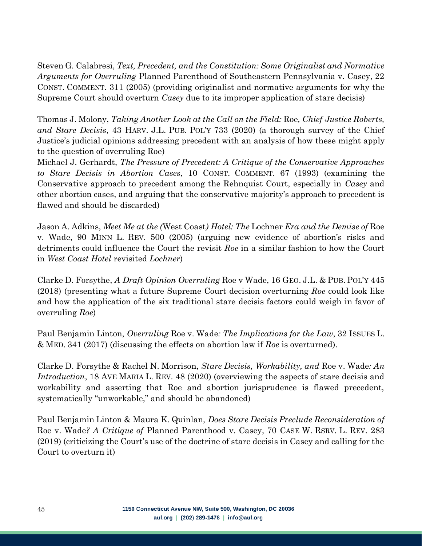Steven G. Calabresi, *Text, Precedent, and the Constitution: Some Originalist and Normative Arguments for Overruling* Planned Parenthood of Southeastern Pennsylvania v. Casey, 22 CONST. COMMENT. 311 (2005) (providing originalist and normative arguments for why the Supreme Court should overturn *Casey* due to its improper application of stare decisis)

Thomas J. Molony, *Taking Another Look at the Call on the Field:* Roe*, Chief Justice Roberts, and Stare Decisis*, 43 HARV. J.L. PUB. POL'Y 733 (2020) (a thorough survey of the Chief Justice's judicial opinions addressing precedent with an analysis of how these might apply to the question of overruling Roe)

Michael J. Gerhardt, *The Pressure of Precedent: A Critique of the Conservative Approaches to Stare Decisis in Abortion Cases*, 10 CONST. COMMENT. 67 (1993) (examining the Conservative approach to precedent among the Rehnquist Court, especially in *Casey* and other abortion cases, and arguing that the conservative majority's approach to precedent is flawed and should be discarded)

Jason A. Adkins, *Meet Me at the (*West Coast*) Hotel: The* Lochner *Era and the Demise of* Roe v. Wade, 90 MINN L. REV. 500 (2005) (arguing new evidence of abortion's risks and detriments could influence the Court the revisit *Roe* in a similar fashion to how the Court in *West Coast Hotel* revisited *Lochner*)

Clarke D. Forsythe, *A Draft Opinion Overruling* Roe v Wade, 16 GEO. J.L. & PUB. POL'Y 445 (2018) (presenting what a future Supreme Court decision overturning *Roe* could look like and how the application of the six traditional stare decisis factors could weigh in favor of overruling *Roe*)

Paul Benjamin Linton, *Overruling* Roe v. Wade*: The Implications for the Law*, 32 ISSUES L. & MED. 341 (2017) (discussing the effects on abortion law if *Roe* is overturned).

Clarke D. Forsythe & Rachel N. Morrison, *Stare Decisis, Workability, and* Roe v. Wade*: An Introduction*, 18 AVE MARIA L. REV. 48 (2020) (overviewing the aspects of stare decisis and workability and asserting that Roe and abortion jurisprudence is flawed precedent, systematically "unworkable," and should be abandoned)

Paul Benjamin Linton & Maura K. Quinlan, *Does Stare Decisis Preclude Reconsideration of*  Roe v. Wade*? A Critique of* Planned Parenthood v. Casey, 70 CASE W. RSRV. L. REV. 283 (2019) (criticizing the Court's use of the doctrine of stare decisis in Casey and calling for the Court to overturn it)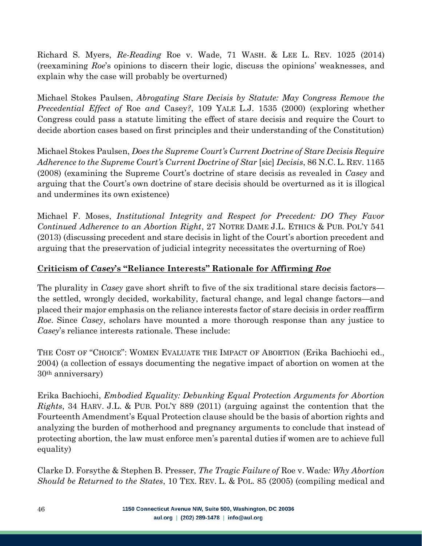Richard S. Myers, *Re-Reading* Roe v. Wade, 71 WASH. & LEE L. REV. 1025 (2014) (reexamining *Roe*'s opinions to discern their logic, discuss the opinions' weaknesses, and explain why the case will probably be overturned)

Michael Stokes Paulsen, *Abrogating Stare Decisis by Statute: May Congress Remove the Precedential Effect of* Roe *and* Casey*?*, 109 YALE L.J. 1535 (2000) (exploring whether Congress could pass a statute limiting the effect of stare decisis and require the Court to decide abortion cases based on first principles and their understanding of the Constitution)

Michael Stokes Paulsen, *Does the Supreme Court's Current Doctrine of Stare Decisis Require Adherence to the Supreme Court's Current Doctrine of Star* [sic] *Decisis*, 86 N.C. L. REV. 1165 (2008) (examining the Supreme Court's doctrine of stare decisis as revealed in *Casey* and arguing that the Court's own doctrine of stare decisis should be overturned as it is illogical and undermines its own existence)

Michael F. Moses, *Institutional Integrity and Respect for Precedent: DO They Favor Continued Adherence to an Abortion Right*, 27 NOTRE DAME J.L. ETHICS & PUB. POL'Y 541 (2013) (discussing precedent and stare decisis in light of the Court's abortion precedent and arguing that the preservation of judicial integrity necessitates the overturning of Roe)

## <span id="page-45-0"></span>**Criticism of** *Casey***'s "Reliance Interests" Rationale for Affirming** *Roe*

The plurality in *Casey* gave short shrift to five of the six traditional stare decisis factors the settled, wrongly decided, workability, factural change, and legal change factors—and placed their major emphasis on the reliance interests factor of stare decisis in order reaffirm *Roe*. Since *Casey*, scholars have mounted a more thorough response than any justice to *Casey*'s reliance interests rationale. These include:

THE COST OF "CHOICE": WOMEN EVALUATE THE IMPACT OF ABORTION (Erika Bachiochi ed., 2004) (a collection of essays documenting the negative impact of abortion on women at the 30th anniversary)

Erika Bachiochi, *Embodied Equality: Debunking Equal Protection Arguments for Abortion Rights*, 34 HARV. J.L. & PUB. POL'Y 889 (2011) (arguing against the contention that the Fourteenth Amendment's Equal Protection clause should be the basis of abortion rights and analyzing the burden of motherhood and pregnancy arguments to conclude that instead of protecting abortion, the law must enforce men's parental duties if women are to achieve full equality)

Clarke D. Forsythe & Stephen B. Presser, *The Tragic Failure of* Roe v. Wade*: Why Abortion Should be Returned to the States*, 10 TEX. REV. L. & POL. 85 (2005) (compiling medical and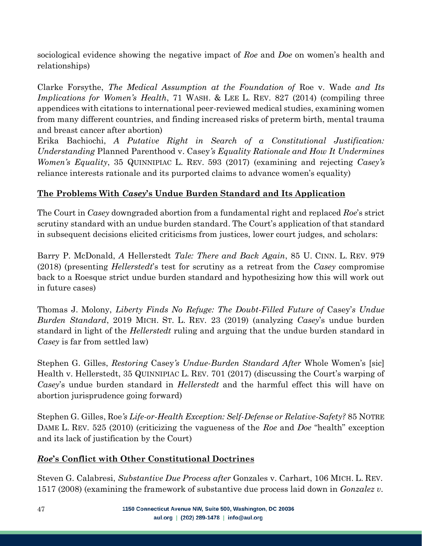sociological evidence showing the negative impact of *Roe* and *Doe* on women's health and relationships)

Clarke Forsythe, *The Medical Assumption at the Foundation of* Roe v. Wade *and Its Implications for Women's Health*, 71 WASH. & LEE L. REV. 827 (2014) (compiling three appendices with citations to international peer-reviewed medical studies, examining women from many different countries, and finding increased risks of preterm birth, mental trauma and breast cancer after abortion)

Erika Bachiochi, *A Putative Right in Search of a Constitutional Justification: Understanding* Planned Parenthood v. Casey*'s Equality Rationale and How It Undermines Women's Equality*, 35 QUINNIPIAC L. REV. 593 (2017) (examining and rejecting *Casey's* reliance interests rationale and its purported claims to advance women's equality)

## <span id="page-46-0"></span>**The Problems With** *Casey***'s Undue Burden Standard and Its Application**

The Court in *Casey* downgraded abortion from a fundamental right and replaced *Roe*'s strict scrutiny standard with an undue burden standard. The Court's application of that standard in subsequent decisions elicited criticisms from justices, lower court judges, and scholars:

Barry P. McDonald, *A* Hellerstedt *Tale: There and Back Again*, 85 U. CINN. L. REV. 979 (2018) (presenting *Hellerstedt*'s test for scrutiny as a retreat from the *Casey* compromise back to a Roesque strict undue burden standard and hypothesizing how this will work out in future cases)

Thomas J. Molony, *Liberty Finds No Refuge: The Doubt-Filled Future of* Casey'*s Undue Burden Standard*, 2019 MICH. ST. L. REV. 23 (2019) (analyzing *Casey*'s undue burden standard in light of the *Hellerstedt* ruling and arguing that the undue burden standard in *Casey* is far from settled law)

Stephen G. Gilles, *Restoring* Casey*'s Undue-Burden Standard After* Whole Women's [sic] Health v. Hellerstedt, 35 QUINNIPIAC L. REV. 701 (2017) (discussing the Court's warping of *Casey*'s undue burden standard in *Hellerstedt* and the harmful effect this will have on abortion jurisprudence going forward)

Stephen G. Gilles, Roe*'s Life-or-Health Exception: Self-Defense or Relative-Safety?* 85 NOTRE DAME L. REV. 525 (2010) (criticizing the vagueness of the *Roe* and *Doe* "health" exception and its lack of justification by the Court)

## <span id="page-46-1"></span>*Roe***'s Conflict with Other Constitutional Doctrines**

Steven G. Calabresi, *Substantive Due Process after* Gonzales v. Carhart, 106 MICH. L. REV. 1517 (2008) (examining the framework of substantive due process laid down in *Gonzalez v.*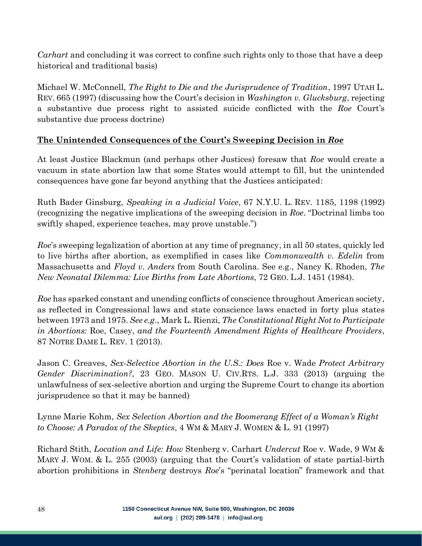*Carhart* and concluding it was correct to confine such rights only to those that have a deep historical and traditional basis)

Michael W. McConnell, *The Right to Die and the Jurisprudence of Tradition*, 1997 UTAH L. REV. 665 (1997) (discussing how the Court's decision in *Washington v. Glucksburg*, rejecting a substantive due process right to assisted suicide conflicted with the *Roe* Court's substantive due process doctrine)

# <span id="page-47-0"></span>**The Unintended Consequences of the Court's Sweeping Decision in** *Roe*

At least Justice Blackmun (and perhaps other Justices) foresaw that *Roe* would create a vacuum in state abortion law that some States would attempt to fill, but the unintended consequences have gone far beyond anything that the Justices anticipated:

Ruth Bader Ginsburg, *Speaking in a Judicial Voice*, 67 N.Y.U. L. REV. 1185, 1198 (1992) (recognizing the negative implications of the sweeping decision in *Roe*. "Doctrinal limbs too swiftly shaped, experience teaches, may prove unstable.")

*Roe*'s sweeping legalization of abortion at any time of pregnancy, in all 50 states, quickly led to live births after abortion, as exemplified in cases like *Commonwealth v. Edelin* from Massachusetts and *Floyd v. Anders* from South Carolina. See e.g., Nancy K. Rhoden, *The New Neonatal Dilemma: Live Births from Late Abortions*, 72 GEO. L.J. 1451 (1984).

*Roe* has sparked constant and unending conflicts of conscience throughout American society, as reflected in Congressional laws and state conscience laws enacted in forty plus states between 1973 and 1975. *See e.g*., Mark L. Rienzi, *The Constitutional Right Not to Participate in Abortions:* Roe, Casey, *and the Fourteenth Amendment Rights of Healthcare Providers*, 87 NOTRE DAME L. REV. 1 (2013).

Jason C. Greaves, *Sex-Selective Abortion in the U.S.: Does* Roe v. Wade *Protect Arbitrary Gender Discrimination?*, 23 GEO. MASON U. CIV.RTS. L.J. 333 (2013) (arguing the unlawfulness of sex-selective abortion and urging the Supreme Court to change its abortion jurisprudence so that it may be banned)

Lynne Marie Kohm, *Sex Selection Abortion and the Boomerang Effect of a Woman's Right to Choose: A Paradox of the Skeptics*, 4 WM & MARY J. WOMEN & L. 91 (1997)

Richard Stith, *Location and Life: How* Stenberg v. Carhart *Undercut* Roe v. Wade, 9 WM & MARY J. WOM. & L. 255 (2003) (arguing that the Court's validation of state partial-birth abortion prohibitions in *Stenberg* destroys *Roe*'s "perinatal location" framework and that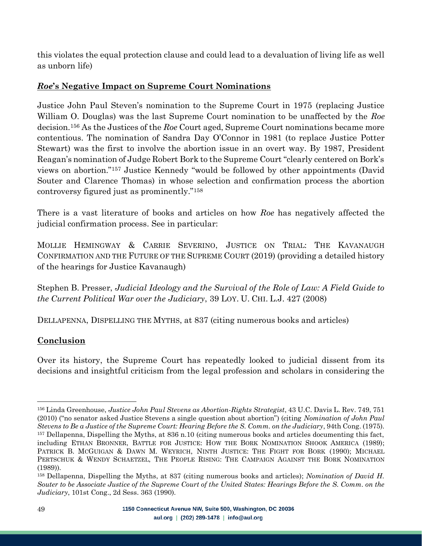this violates the equal protection clause and could lead to a devaluation of living life as well as unborn life)

## <span id="page-48-0"></span>*Roe***'s Negative Impact on Supreme Court Nominations**

Justice John Paul Steven's nomination to the Supreme Court in 1975 (replacing Justice William O. Douglas) was the last Supreme Court nomination to be unaffected by the *Roe* decision.<sup>156</sup> As the Justices of the *Roe* Court aged, Supreme Court nominations became more contentious. The nomination of Sandra Day O'Connor in 1981 (to replace Justice Potter Stewart) was the first to involve the abortion issue in an overt way. By 1987, President Reagan's nomination of Judge Robert Bork to the Supreme Court "clearly centered on Bork's views on abortion."<sup>157</sup> Justice Kennedy "would be followed by other appointments (David Souter and Clarence Thomas) in whose selection and confirmation process the abortion controversy figured just as prominently."<sup>158</sup>

There is a vast literature of books and articles on how *Roe* has negatively affected the judicial confirmation process. See in particular:

MOLLIE HEMINGWAY & CARRIE SEVERINO, JUSTICE ON TRIAL: THE KAVANAUGH CONFIRMATION AND THE FUTURE OF THE SUPREME COURT (2019) (providing a detailed history of the hearings for Justice Kavanaugh)

Stephen B. Presser, *Judicial Ideology and the Survival of the Role of Law: A Field Guide to the Current Political War over the Judiciary*, 39 LOY. U. CHI. L.J. 427 (2008)

DELLAPENNA, DISPELLING THE MYTHS, at 837 (citing numerous books and articles)

## <span id="page-48-1"></span>**Conclusion**

Over its history, the Supreme Court has repeatedly looked to judicial dissent from its decisions and insightful criticism from the legal profession and scholars in considering the

<sup>156</sup> Linda Greenhouse, *Justice John Paul Stevens as Abortion-Rights Strategist*, 43 U.C. Davis L. Rev. 749, 751 (2010) ("no senator asked Justice Stevens a single question about abortion") (citing *Nomination of John Paul Stevens to Be a Justice of the Supreme Court: Hearing Before the S. Comm. on the Judiciary*, 94th Cong. (1975). <sup>157</sup> Dellapenna, Dispelling the Myths, at 836 n.10 (citing numerous books and articles documenting this fact, including ETHAN BRONNER, BATTLE FOR JUSTICE: HOW THE BORK NOMINATION SHOOK AMERICA (1989); PATRICK B. MCGUIGAN & DAWN M. WEYRICH, NINTH JUSTICE: THE FIGHT FOR BORK (1990); MICHAEL PERTSCHUK & WENDY SCHAETZEL, THE PEOPLE RISING: THE CAMPAIGN AGAINST THE BORK NOMINATION (1989)).

<sup>158</sup> Dellapenna, Dispelling the Myths, at 837 (citing numerous books and articles); *Nomination of David H. Souter to be Associate Justice of the Supreme Court of the United States: Hearings Before the S. Comm. on the Judiciary*, 101st Cong., 2d Sess. 363 (1990).